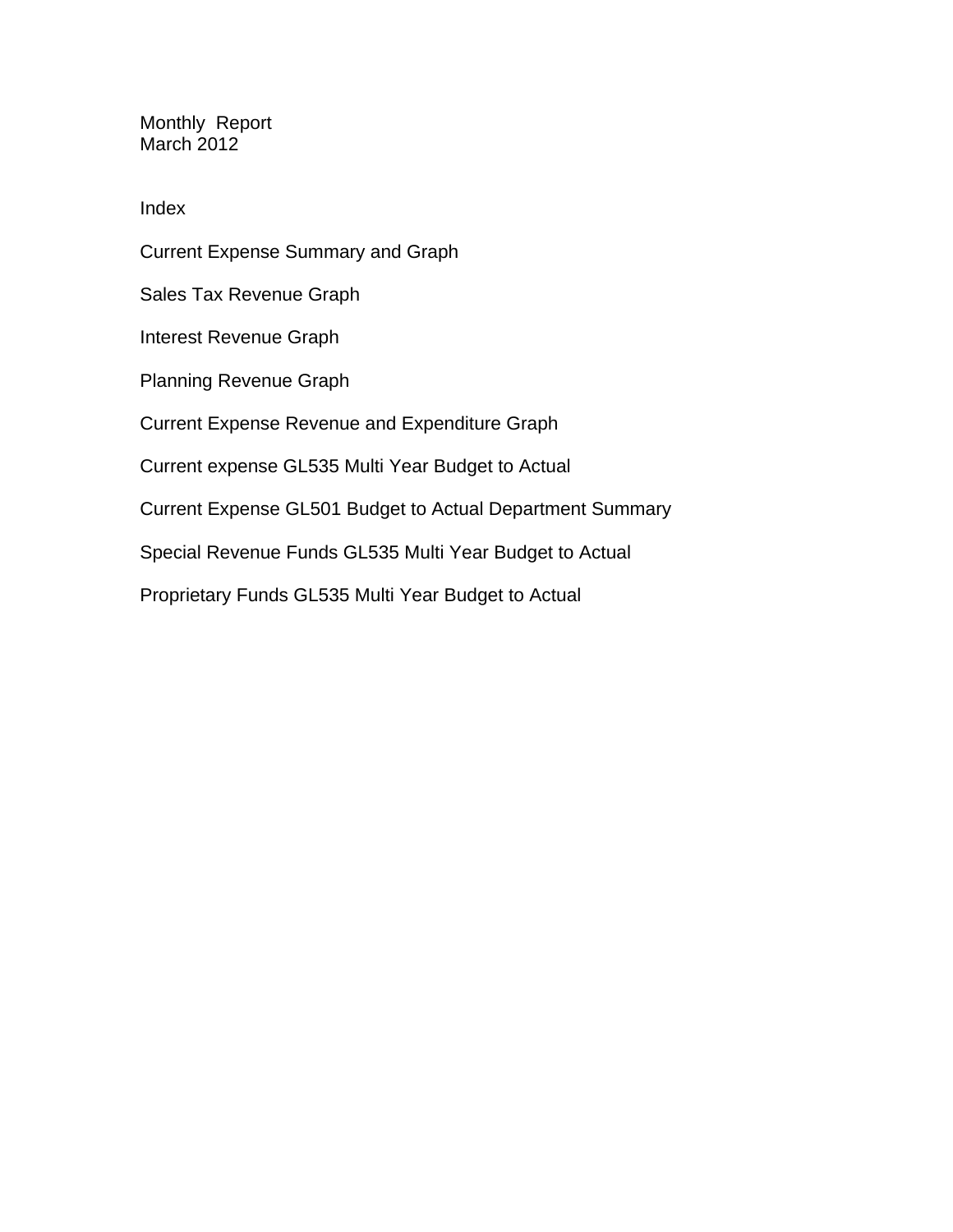Monthly Report March 2012

Index

Current Expense Summary and Graph Sales Tax Revenue Graph Interest Revenue Graph Planning Revenue Graph Current Expense Revenue and Expenditure Graph Current expense GL535 Multi Year Budget to Actual Current Expense GL501 Budget to Actual Department Summary Special Revenue Funds GL535 Multi Year Budget to Actual

Proprietary Funds GL535 Multi Year Budget to Actual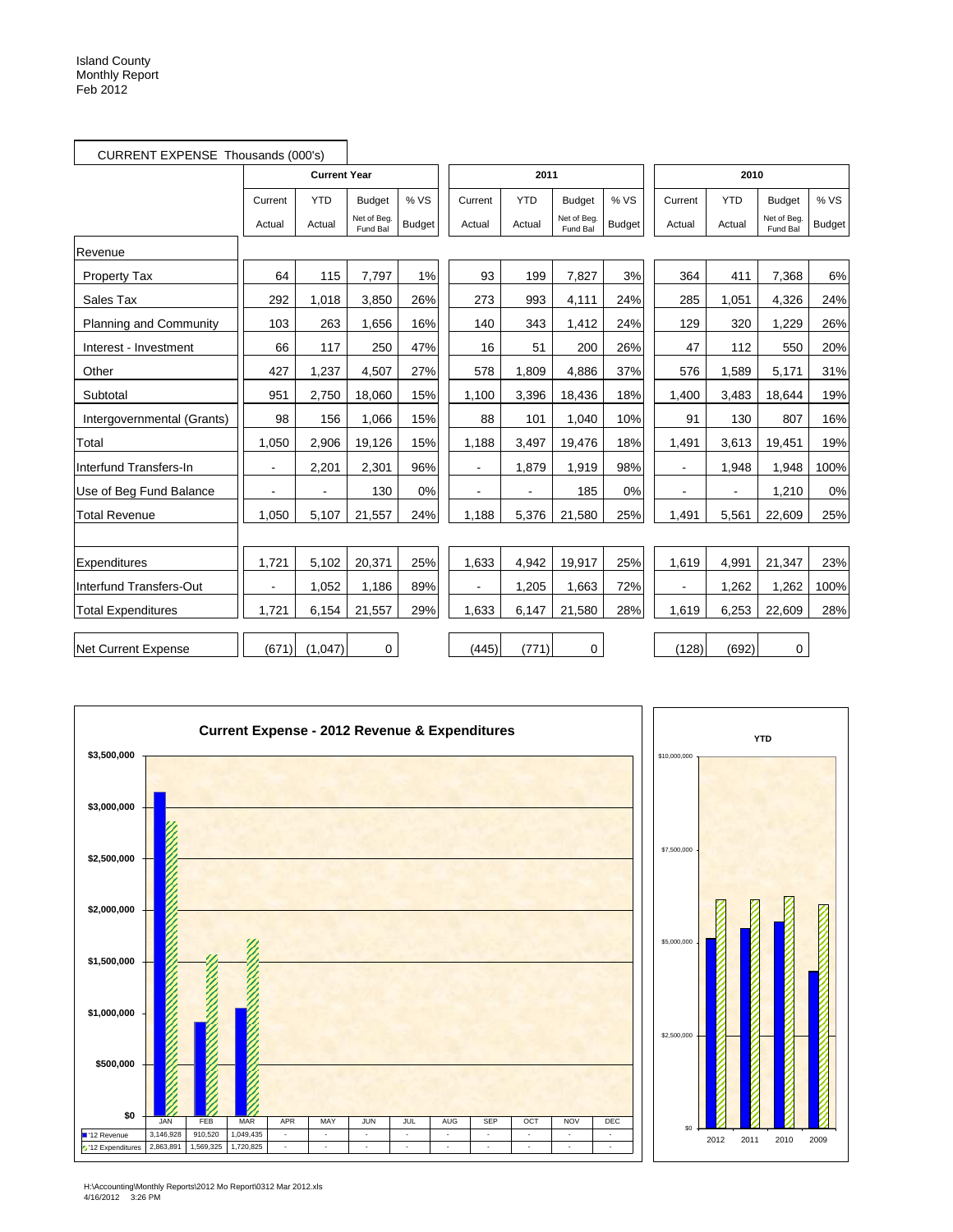|                               | CURRENT EXPENSE Thousands (000's) |                     |                         |               |                |            |                         |               |                          |            |                         |               |
|-------------------------------|-----------------------------------|---------------------|-------------------------|---------------|----------------|------------|-------------------------|---------------|--------------------------|------------|-------------------------|---------------|
|                               |                                   | <b>Current Year</b> |                         |               |                | 2011       |                         |               |                          | 2010       |                         |               |
|                               | Current                           | <b>YTD</b>          | <b>Budget</b>           | % VS          | Current        | <b>YTD</b> | <b>Budget</b>           | % VS          | Current                  | <b>YTD</b> | <b>Budget</b>           | % VS          |
|                               | Actual                            | Actual              | Net of Beg.<br>Fund Bal | <b>Budget</b> | Actual         | Actual     | Net of Beg.<br>Fund Bal | <b>Budget</b> | Actual                   | Actual     | Net of Beg.<br>Fund Bal | <b>Budget</b> |
| Revenue                       |                                   |                     |                         |               |                |            |                         |               |                          |            |                         |               |
| <b>Property Tax</b>           | 64                                | 115                 | 7,797                   | 1%            | 93             | 199        | 7,827                   | 3%            | 364                      | 411        | 7,368                   | 6%            |
| Sales Tax                     | 292                               | 1.018               | 3,850                   | 26%           | 273            | 993        | 4,111                   | 24%           | 285                      | 1,051      | 4,326                   | 24%           |
| <b>Planning and Community</b> | 103                               | 263                 | 1,656                   | 16%           | 140            | 343        | 1.412                   | 24%           | 129                      | 320        | 1.229                   | 26%           |
| Interest - Investment         | 66                                | 117                 | 250                     | 47%           | 16             | 51         | 200                     | 26%           | 47                       | 112        | 550                     | 20%           |
| Other                         | 427                               | 1,237               | 4,507                   | 27%           | 578            | 1,809      | 4,886                   | 37%           | 576                      | 1,589      | 5,171                   | 31%           |
| Subtotal                      | 951                               | 2,750               | 18,060                  | 15%           | 1,100          | 3,396      | 18,436                  | 18%           | 1,400                    | 3,483      | 18,644                  | 19%           |
| Intergovernmental (Grants)    | 98                                | 156                 | 1,066                   | 15%           | 88             | 101        | 1,040                   | 10%           | 91                       | 130        | 807                     | 16%           |
| Total                         | 1,050                             | 2,906               | 19,126                  | 15%           | 1,188          | 3,497      | 19,476                  | 18%           | 1,491                    | 3,613      | 19,451                  | 19%           |
| Interfund Transfers-In        | $\blacksquare$                    | 2,201               | 2,301                   | 96%           | $\blacksquare$ | 1,879      | 1,919                   | 98%           | $\blacksquare$           | 1.948      | 1,948                   | 100%          |
| Use of Beg Fund Balance       |                                   |                     | 130                     | 0%            |                |            | 185                     | 0%            | $\overline{a}$           |            | 1,210                   | 0%            |
| <b>Total Revenue</b>          | 1,050                             | 5,107               | 21,557                  | 24%           | 1,188          | 5,376      | 21,580                  | 25%           | 1,491                    | 5,561      | 22,609                  | 25%           |
|                               |                                   |                     |                         |               |                |            |                         |               |                          |            |                         |               |
| Expenditures                  | 1,721                             | 5,102               | 20,371                  | 25%           | 1,633          | 4,942      | 19,917                  | 25%           | 1,619                    | 4,991      | 21,347                  | 23%           |
| Interfund Transfers-Out       |                                   | 1,052               | 1,186                   | 89%           |                | 1,205      | 1,663                   | 72%           | $\overline{\phantom{a}}$ | 1,262      | 1,262                   | 100%          |
| <b>Total Expenditures</b>     | 1,721                             | 6,154               | 21,557                  | 29%           | 1,633          | 6,147      | 21,580                  | 28%           | 1,619                    | 6,253      | 22,609                  | 28%           |
| Net Current Expense           | (671)                             | (1,047)             | 0                       |               | (445)          | (771)      | 0                       |               | (128)                    | (692)      | 0                       |               |



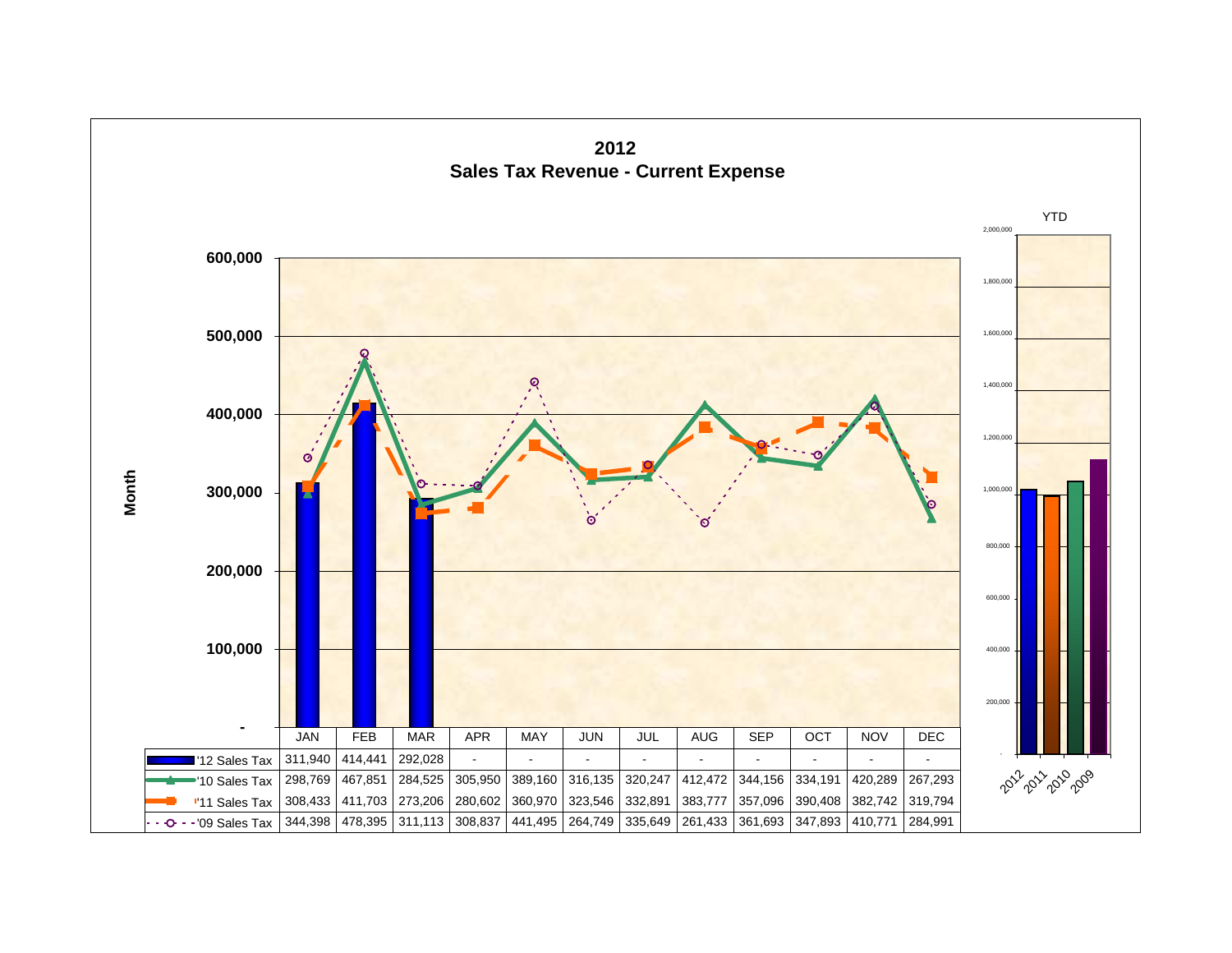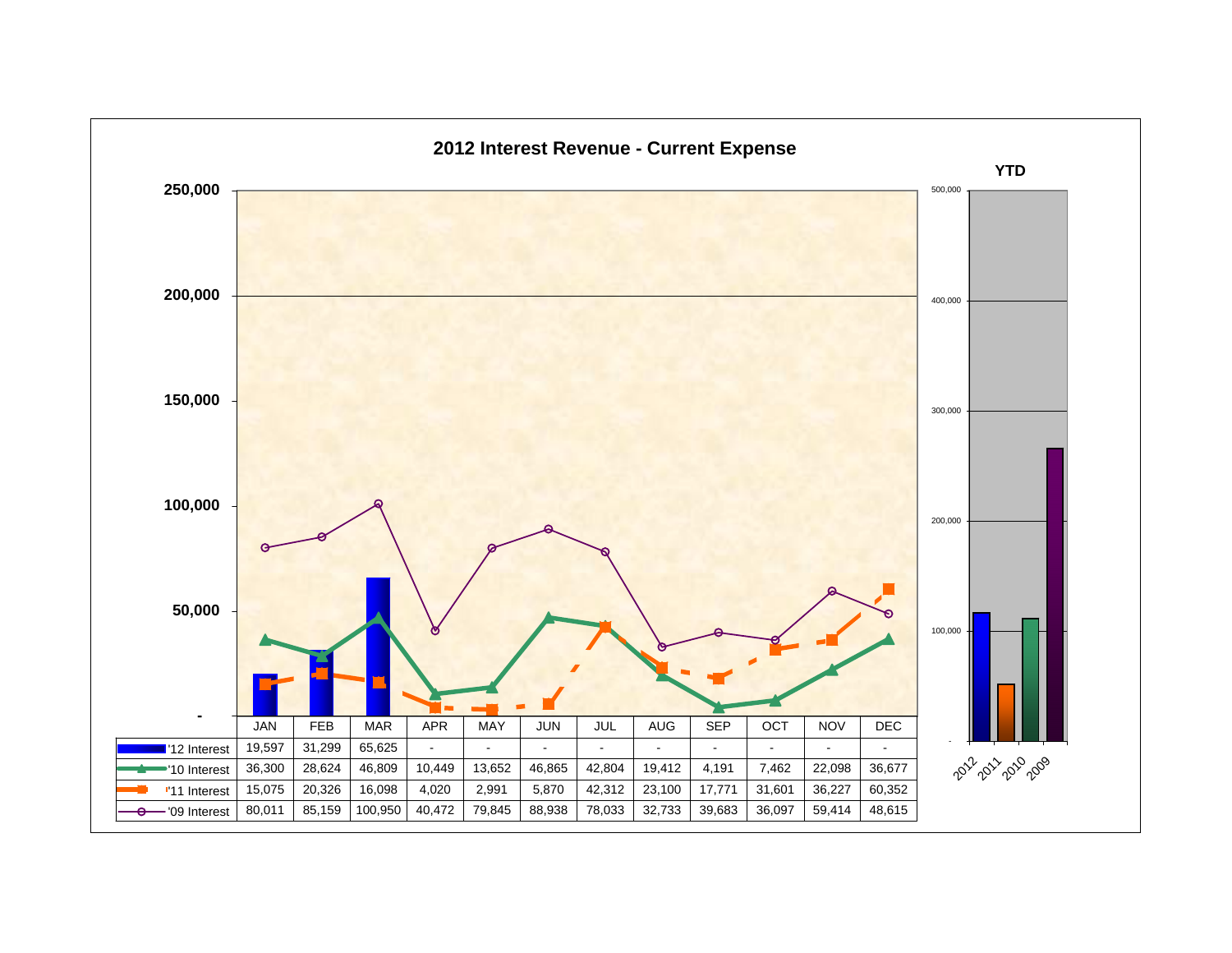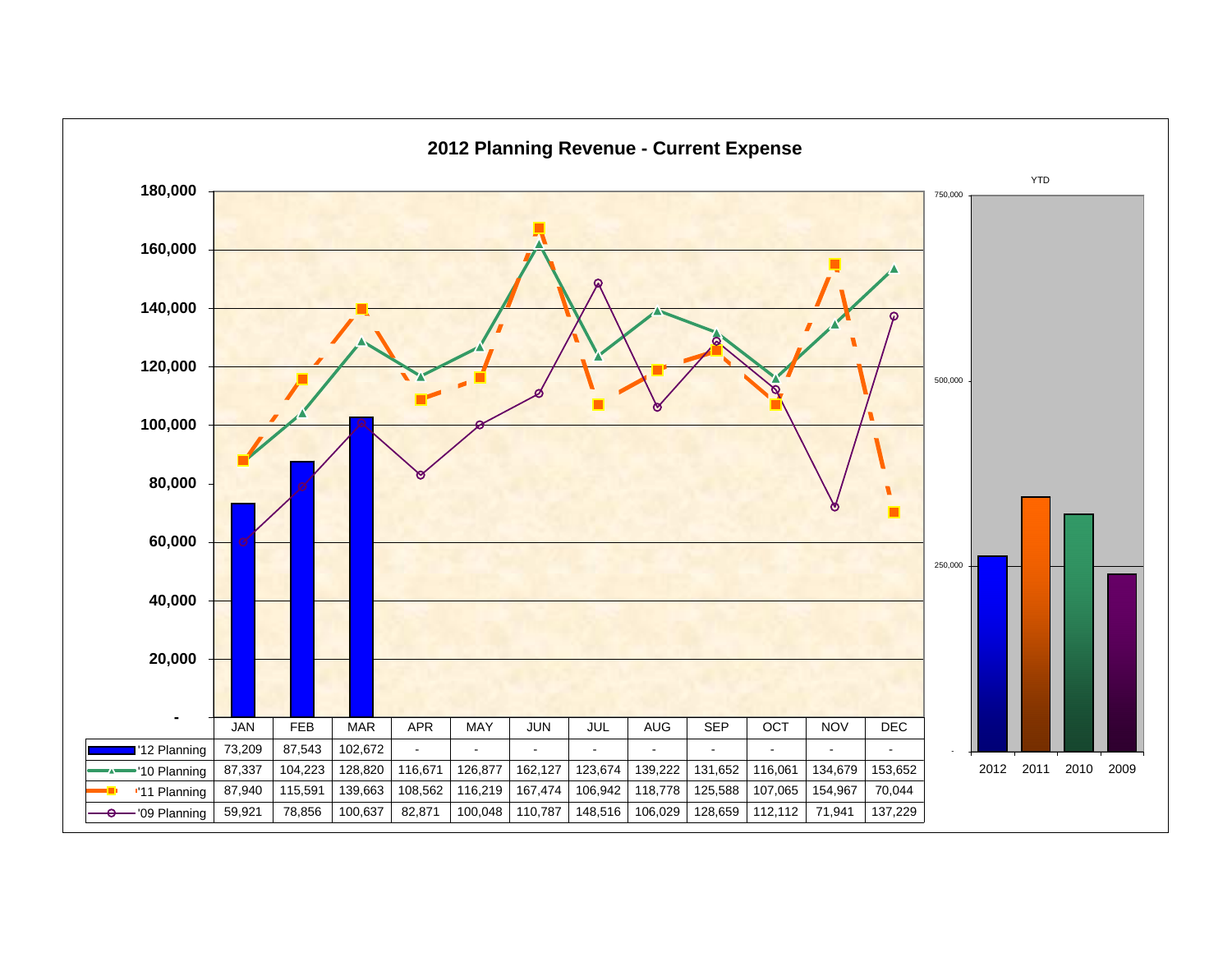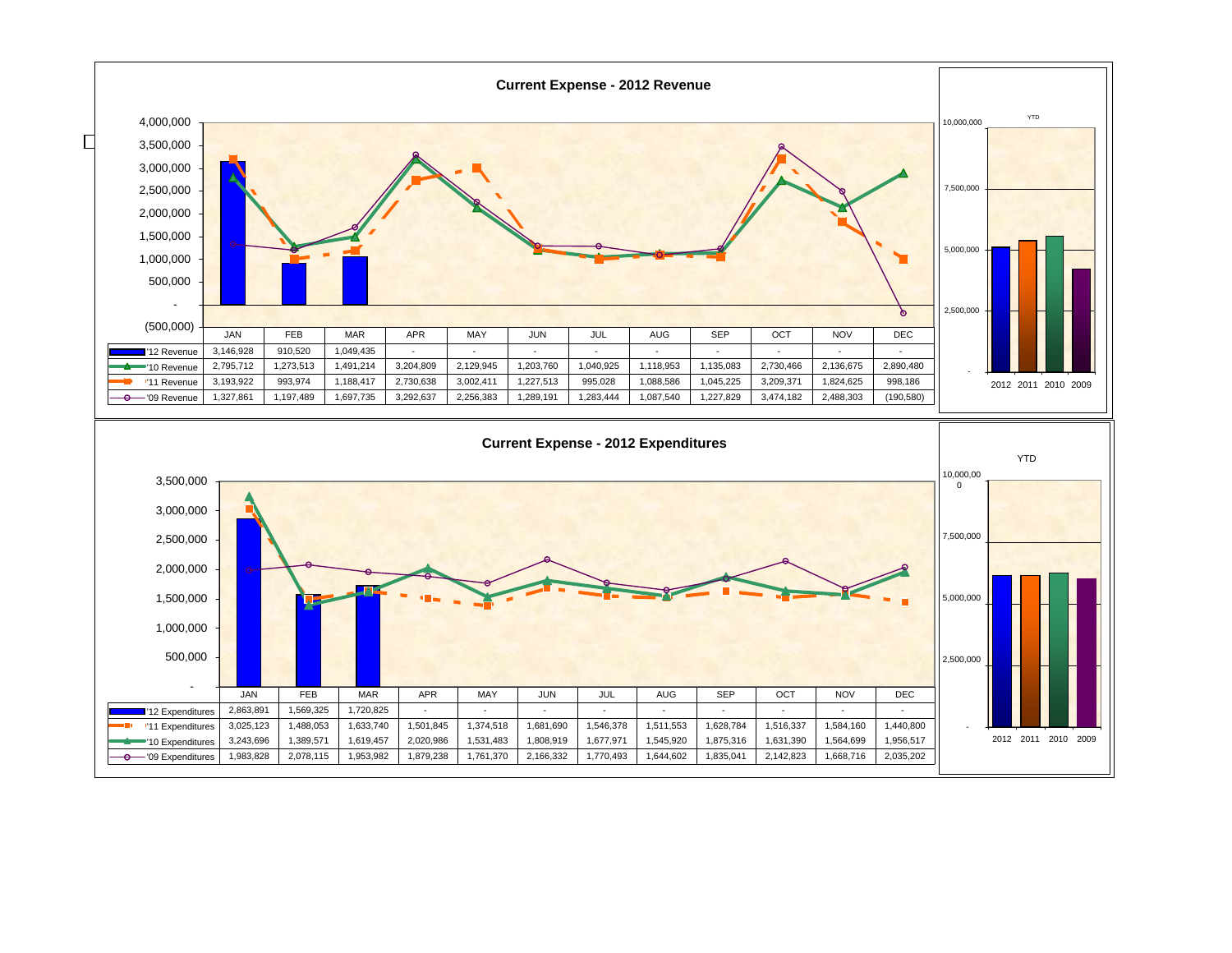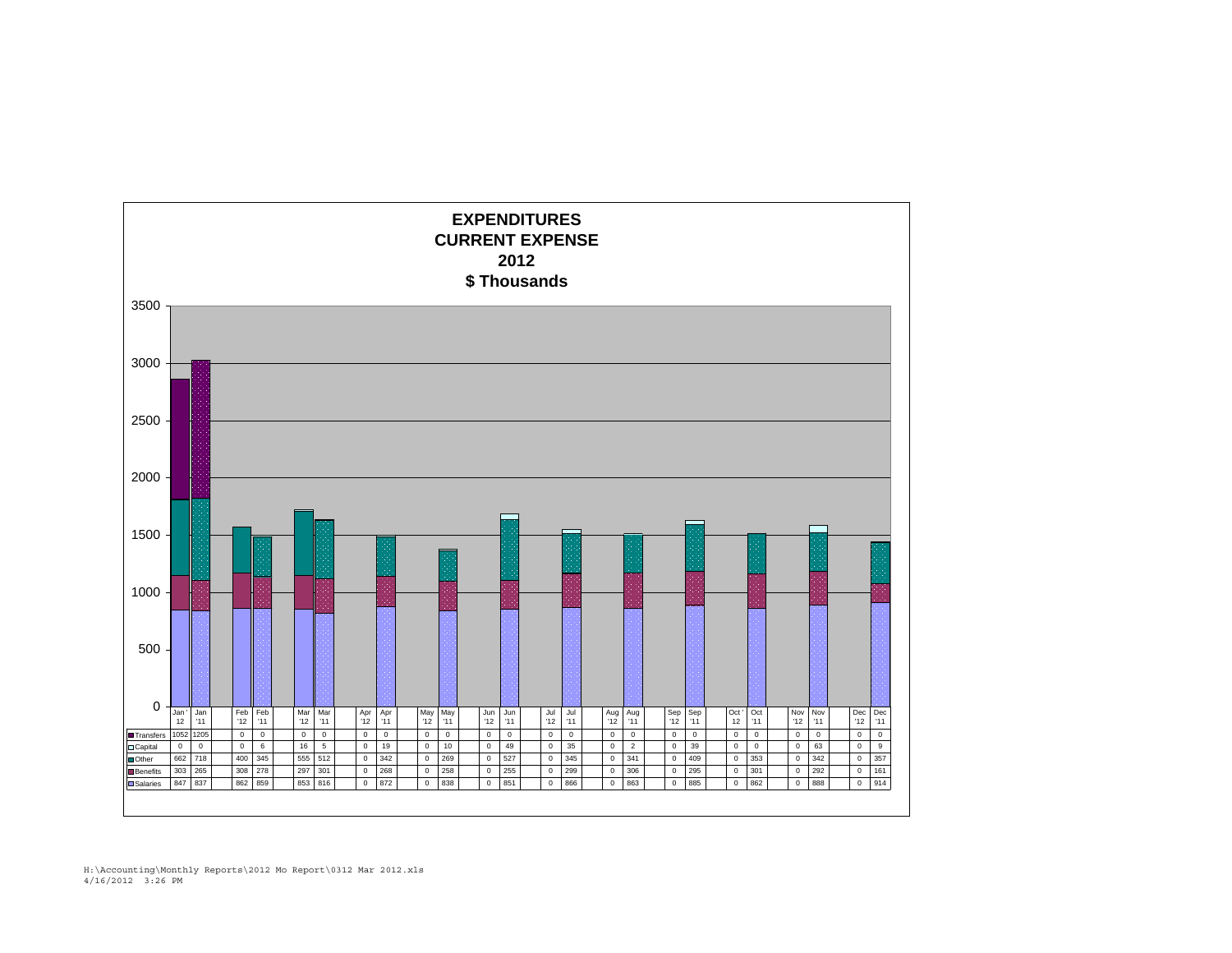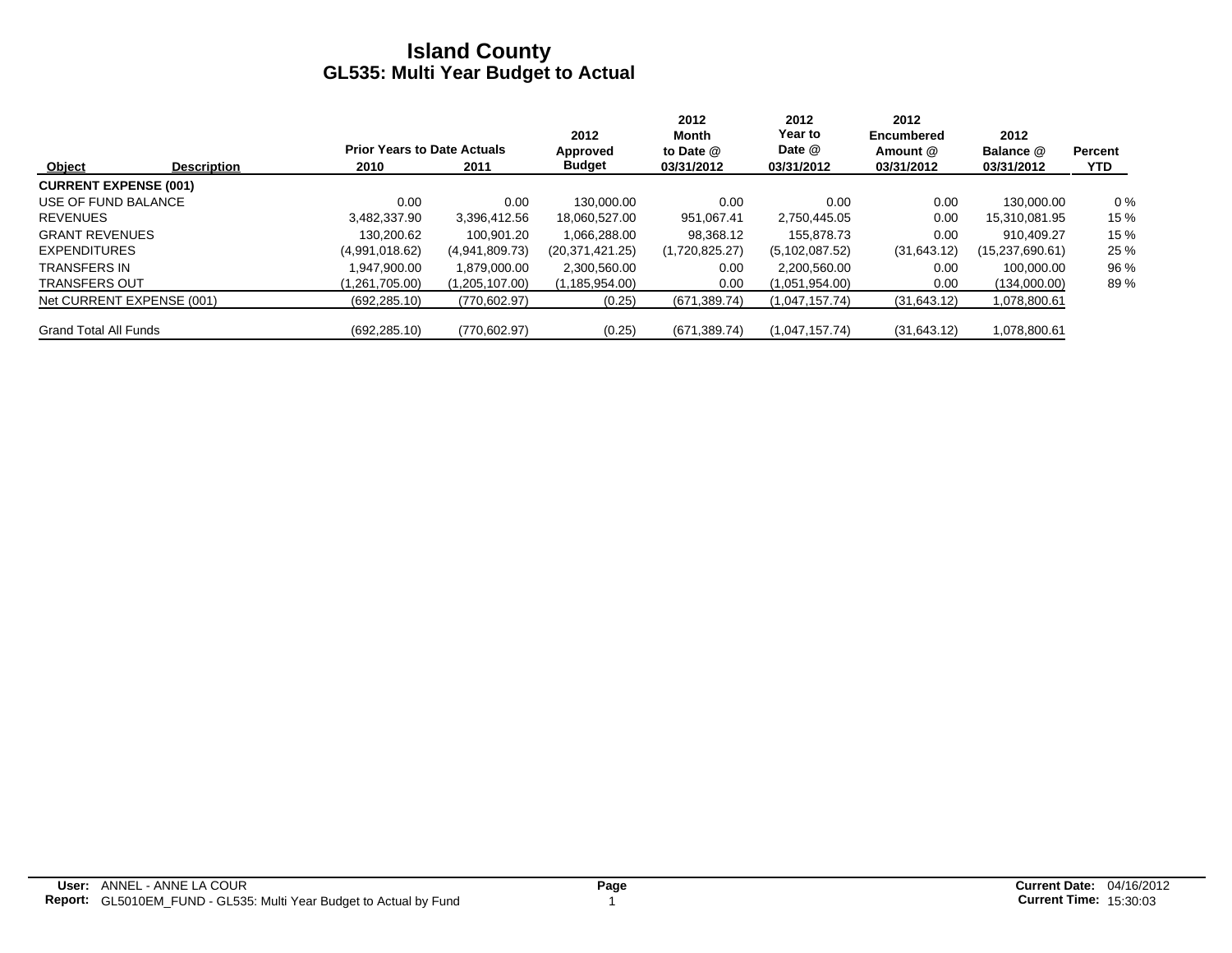|                              |                    |                                    |                | 2012             | 2012<br>Month  | 2012<br>Year to | 2012<br><b>Encumbered</b> | 2012            |                |
|------------------------------|--------------------|------------------------------------|----------------|------------------|----------------|-----------------|---------------------------|-----------------|----------------|
|                              |                    | <b>Prior Years to Date Actuals</b> |                | Approved         | to Date @      | Date @          | Amount @                  | Balance @       | <b>Percent</b> |
| Object                       | <b>Description</b> | 2010                               | 2011           | <b>Budget</b>    | 03/31/2012     | 03/31/2012      | 03/31/2012                | 03/31/2012      | <b>YTD</b>     |
| <b>CURRENT EXPENSE (001)</b> |                    |                                    |                |                  |                |                 |                           |                 |                |
| USE OF FUND BALANCE          |                    | 0.00                               | 0.00           | 130.000.00       | 0.00           | 0.00            | 0.00                      | 130.000.00      | $0\%$          |
| <b>REVENUES</b>              |                    | 3.482.337.90                       | 3.396.412.56   | 18.060.527.00    | 951.067.41     | 2,750,445.05    | 0.00                      | 15,310,081.95   | 15 %           |
| <b>GRANT REVENUES</b>        |                    | 130.200.62                         | 100.901.20     | 1.066.288.00     | 98.368.12      | 155.878.73      | 0.00                      | 910.409.27      | 15 %           |
| <b>EXPENDITURES</b>          |                    | (4,991,018.62)                     | (4,941,809.73) | (20.371.421.25)  | (1,720,825.27) | (5,102,087.52)  | (31,643.12)               | (15,237,690.61) | 25 %           |
| <b>TRANSFERS IN</b>          |                    | .947.900.00                        | 1.879.000.00   | 2,300,560.00     | 0.00           | 2,200,560.00    | 0.00                      | 100.000.00      | 96 %           |
| <b>TRANSFERS OUT</b>         |                    | (1,261,705.00)                     | (1,205,107.00) | (1, 185, 954.00) | 0.00           | (1,051,954.00)  | 0.00                      | (134,000.00)    | 89%            |
| Net CURRENT EXPENSE (001)    |                    | (692, 285.10)                      | (770, 602.97)  | (0.25)           | (671, 389.74)  | (1,047,157.74)  | (31,643.12)               | 1,078,800.61    |                |
| <b>Grand Total All Funds</b> |                    | (692, 285.10)                      | (770, 602.97)  | (0.25)           | (671, 389.74)  | (1,047,157.74)  | (31,643.12)               | 1,078,800.61    |                |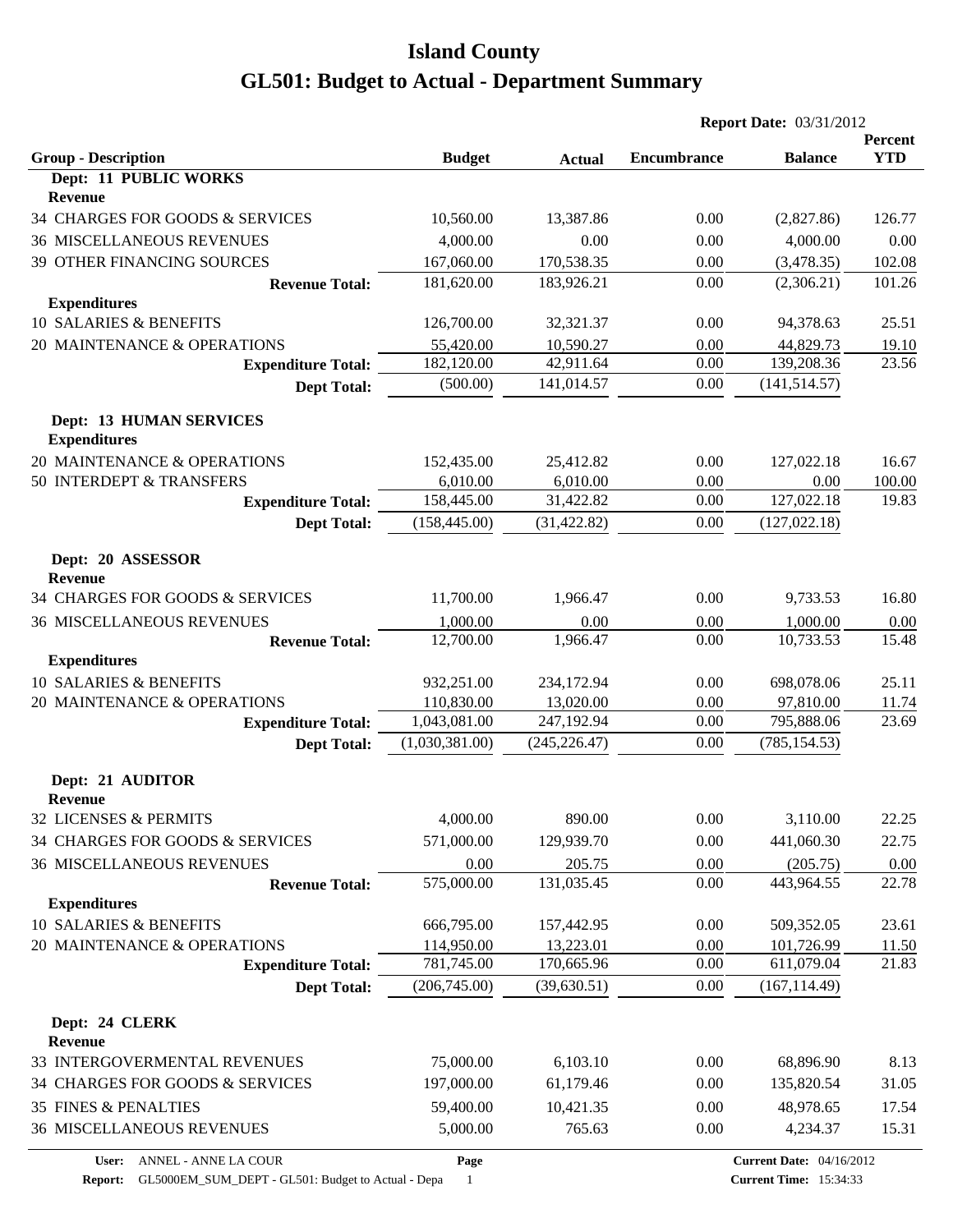|                                                       |                |               | <b>Report Date: 03/31/2012</b> |                                 |                              |
|-------------------------------------------------------|----------------|---------------|--------------------------------|---------------------------------|------------------------------|
| <b>Group - Description</b>                            | <b>Budget</b>  | <b>Actual</b> | <b>Encumbrance</b>             | <b>Balance</b>                  | <b>Percent</b><br><b>YTD</b> |
| Dept: 11 PUBLIC WORKS                                 |                |               |                                |                                 |                              |
| Revenue                                               |                |               |                                |                                 |                              |
| 34 CHARGES FOR GOODS & SERVICES                       | 10,560.00      | 13,387.86     | 0.00                           | (2,827.86)                      | 126.77                       |
| <b>36 MISCELLANEOUS REVENUES</b>                      | 4,000.00       | 0.00          | 0.00                           | 4,000.00                        | 0.00                         |
| 39 OTHER FINANCING SOURCES                            | 167,060.00     | 170,538.35    | 0.00                           | (3,478.35)                      | 102.08                       |
| <b>Revenue Total:</b>                                 | 181,620.00     | 183,926.21    | 0.00                           | (2,306.21)                      | 101.26                       |
| <b>Expenditures</b>                                   |                |               |                                |                                 |                              |
| <b>10 SALARIES &amp; BENEFITS</b>                     | 126,700.00     | 32,321.37     | 0.00                           | 94,378.63                       | 25.51                        |
| 20 MAINTENANCE & OPERATIONS                           | 55,420.00      | 10,590.27     | 0.00                           | 44,829.73                       | 19.10                        |
| <b>Expenditure Total:</b>                             | 182,120.00     | 42,911.64     | 0.00                           | 139,208.36                      | 23.56                        |
| <b>Dept Total:</b>                                    | (500.00)       | 141,014.57    | 0.00                           | (141, 514.57)                   |                              |
| <b>Dept: 13 HUMAN SERVICES</b><br><b>Expenditures</b> |                |               |                                |                                 |                              |
| 20 MAINTENANCE & OPERATIONS                           | 152,435.00     | 25,412.82     | 0.00                           | 127,022.18                      | 16.67                        |
| 50 INTERDEPT & TRANSFERS                              | 6,010.00       | 6,010.00      | 0.00                           | 0.00                            | 100.00                       |
| <b>Expenditure Total:</b>                             | 158,445.00     | 31,422.82     | 0.00                           | 127,022.18                      | 19.83                        |
| <b>Dept Total:</b>                                    | (158, 445.00)  | (31, 422.82)  | 0.00                           | (127, 022.18)                   |                              |
| Dept: 20 ASSESSOR<br><b>Revenue</b>                   |                |               |                                |                                 |                              |
| 34 CHARGES FOR GOODS & SERVICES                       | 11,700.00      | 1,966.47      | 0.00                           | 9,733.53                        | 16.80                        |
| <b>36 MISCELLANEOUS REVENUES</b>                      | 1,000.00       | 0.00          | 0.00                           | 1,000.00                        | 0.00                         |
| <b>Revenue Total:</b>                                 | 12,700.00      | 1,966.47      | 0.00                           | 10,733.53                       | 15.48                        |
| <b>Expenditures</b>                                   |                |               |                                |                                 |                              |
| 10 SALARIES & BENEFITS                                | 932,251.00     | 234,172.94    | 0.00                           | 698,078.06                      | 25.11                        |
| 20 MAINTENANCE & OPERATIONS                           | 110,830.00     | 13,020.00     | 0.00                           | 97,810.00                       | 11.74                        |
| <b>Expenditure Total:</b>                             | 1,043,081.00   | 247,192.94    | 0.00                           | 795,888.06                      | 23.69                        |
| <b>Dept Total:</b>                                    | (1,030,381.00) | (245, 226.47) | 0.00                           | (785, 154.53)                   |                              |
| Dept: 21 AUDITOR<br><b>Revenue</b>                    |                |               |                                |                                 |                              |
| 32 LICENSES & PERMITS                                 | 4,000.00       | 890.00        | 0.00                           | 3,110.00                        | 22.25                        |
| 34 CHARGES FOR GOODS & SERVICES                       | 571,000.00     | 129,939.70    | 0.00                           | 441,060.30                      | 22.75                        |
| <b>36 MISCELLANEOUS REVENUES</b>                      | 0.00           | 205.75        | 0.00                           | (205.75)                        | 0.00                         |
| <b>Revenue Total:</b><br><b>Expenditures</b>          | 575,000.00     | 131,035.45    | 0.00                           | 443,964.55                      | 22.78                        |
| 10 SALARIES & BENEFITS                                | 666,795.00     | 157,442.95    | 0.00                           | 509,352.05                      | 23.61                        |
| 20 MAINTENANCE & OPERATIONS                           | 114,950.00     | 13,223.01     | 0.00                           | 101,726.99                      | 11.50                        |
| <b>Expenditure Total:</b>                             | 781,745.00     | 170,665.96    | 0.00                           | 611,079.04                      | 21.83                        |
| <b>Dept Total:</b>                                    | (206,745.00)   | (39, 630.51)  | 0.00                           | (167, 114.49)                   |                              |
| Dept: 24 CLERK<br><b>Revenue</b>                      |                |               |                                |                                 |                              |
| 33 INTERGOVERMENTAL REVENUES                          | 75,000.00      | 6,103.10      | 0.00                           | 68,896.90                       | 8.13                         |
| 34 CHARGES FOR GOODS & SERVICES                       | 197,000.00     | 61,179.46     | 0.00                           | 135,820.54                      | 31.05                        |
| <b>35 FINES &amp; PENALTIES</b>                       | 59,400.00      | 10,421.35     | 0.00                           | 48,978.65                       | 17.54                        |
| 36 MISCELLANEOUS REVENUES                             | 5,000.00       | 765.63        | 0.00                           | 4,234.37                        | 15.31                        |
| ANNEL - ANNE LA COUR<br>User:                         | Page           |               |                                | <b>Current Date: 04/16/2012</b> |                              |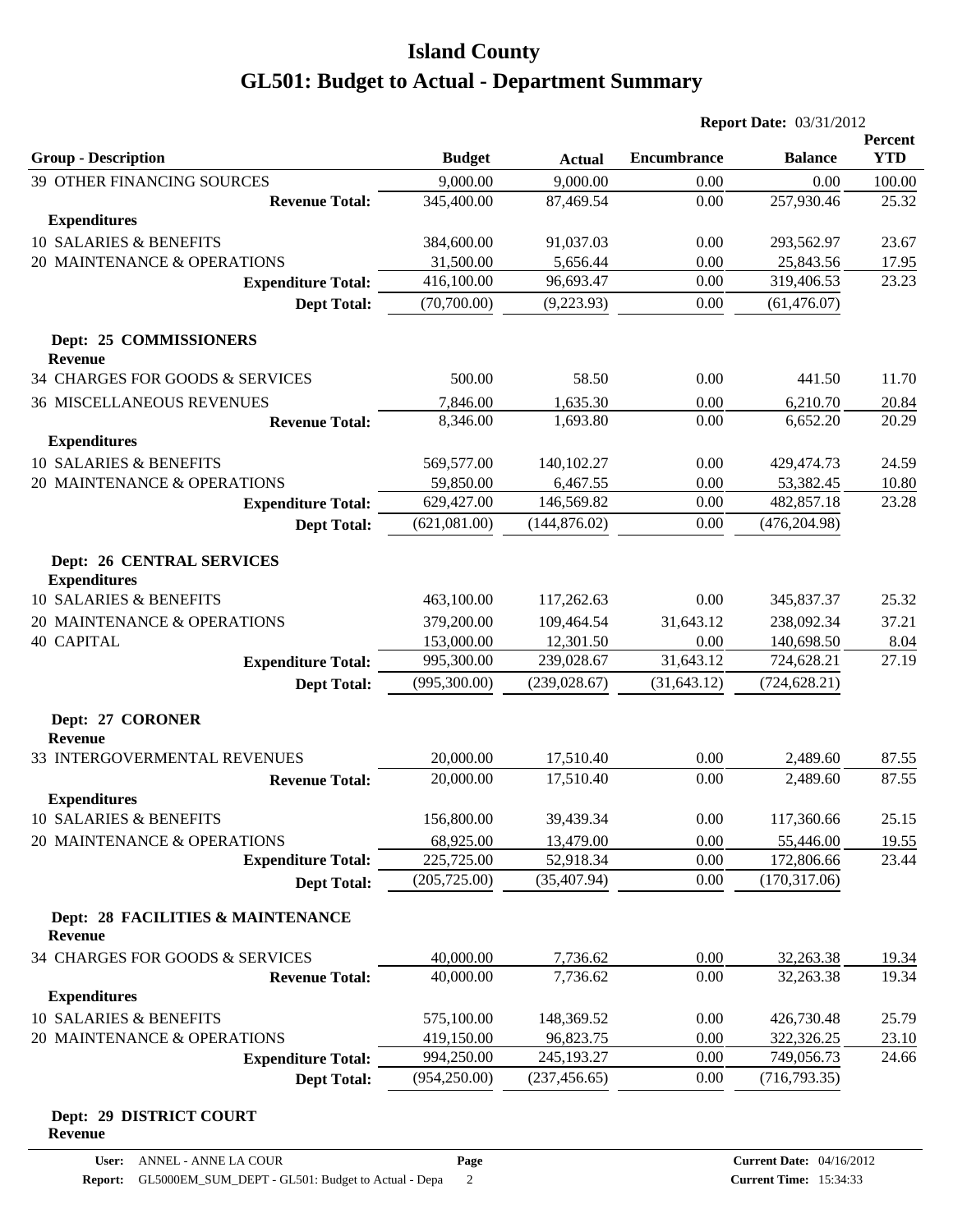|                                                         |               |               | <b>Report Date: 03/31/2012</b> |                |                       |
|---------------------------------------------------------|---------------|---------------|--------------------------------|----------------|-----------------------|
| <b>Group - Description</b>                              | <b>Budget</b> | <b>Actual</b> | <b>Encumbrance</b>             | <b>Balance</b> | Percent<br><b>YTD</b> |
| 39 OTHER FINANCING SOURCES                              | 9,000.00      | 9,000.00      | 0.00                           | 0.00           | 100.00                |
| <b>Revenue Total:</b>                                   | 345,400.00    | 87,469.54     | 0.00                           | 257,930.46     | 25.32                 |
| <b>Expenditures</b>                                     |               |               |                                |                |                       |
| 10 SALARIES & BENEFITS                                  | 384,600.00    | 91,037.03     | 0.00                           | 293,562.97     | 23.67                 |
| 20 MAINTENANCE & OPERATIONS                             | 31,500.00     | 5,656.44      | 0.00                           | 25,843.56      | 17.95                 |
| <b>Expenditure Total:</b>                               | 416,100.00    | 96,693.47     | 0.00                           | 319,406.53     | 23.23                 |
| <b>Dept Total:</b>                                      | (70,700.00)   | (9,223.93)    | 0.00                           | (61, 476.07)   |                       |
| Dept: 25 COMMISSIONERS<br><b>Revenue</b>                |               |               |                                |                |                       |
| 34 CHARGES FOR GOODS & SERVICES                         | 500.00        | 58.50         | 0.00                           | 441.50         | 11.70                 |
| <b>36 MISCELLANEOUS REVENUES</b>                        | 7,846.00      | 1,635.30      | 0.00                           | 6,210.70       | 20.84                 |
| <b>Revenue Total:</b>                                   | 8,346.00      | 1,693.80      | 0.00                           | 6,652.20       | 20.29                 |
| <b>Expenditures</b>                                     |               |               |                                |                |                       |
| <b>10 SALARIES &amp; BENEFITS</b>                       | 569,577.00    | 140,102.27    | 0.00                           | 429,474.73     | 24.59                 |
| 20 MAINTENANCE & OPERATIONS                             | 59,850.00     | 6,467.55      | 0.00                           | 53,382.45      | 10.80                 |
| <b>Expenditure Total:</b>                               | 629,427.00    | 146,569.82    | 0.00                           | 482,857.18     | 23.28                 |
| <b>Dept Total:</b>                                      | (621,081.00)  | (144, 876.02) | 0.00                           | (476, 204.98)  |                       |
| <b>Dept: 26 CENTRAL SERVICES</b><br><b>Expenditures</b> |               |               |                                |                |                       |
| 10 SALARIES & BENEFITS                                  | 463,100.00    | 117,262.63    | 0.00                           | 345,837.37     | 25.32                 |
| 20 MAINTENANCE & OPERATIONS                             | 379,200.00    | 109,464.54    | 31,643.12                      | 238,092.34     | 37.21                 |
| <b>40 CAPITAL</b>                                       | 153,000.00    | 12,301.50     | 0.00                           | 140,698.50     | 8.04                  |
| <b>Expenditure Total:</b>                               | 995,300.00    | 239,028.67    | 31,643.12                      | 724,628.21     | 27.19                 |
| <b>Dept Total:</b>                                      | (995,300.00)  | (239, 028.67) | (31, 643.12)                   | (724, 628.21)  |                       |
| Dept: 27 CORONER<br><b>Revenue</b>                      |               |               |                                |                |                       |
| 33 INTERGOVERMENTAL REVENUES                            | 20,000.00     | 17,510.40     | 0.00                           | 2,489.60       | 87.55                 |
| <b>Revenue Total:</b>                                   | 20,000.00     | 17,510.40     | 0.00                           | 2,489.60       | 87.55                 |
| <b>Expenditures</b>                                     |               |               |                                |                |                       |
| 10 SALARIES & BENEFITS                                  | 156,800.00    | 39,439.34     | 0.00                           | 117,360.66     | 25.15                 |
| 20 MAINTENANCE & OPERATIONS                             | 68,925.00     | 13,479.00     | 0.00                           | 55,446.00      | 19.55                 |
| <b>Expenditure Total:</b>                               | 225,725.00    | 52,918.34     | 0.00                           | 172,806.66     | 23.44                 |
| <b>Dept Total:</b>                                      | (205, 725.00) | (35, 407.94)  | 0.00                           | (170, 317.06)  |                       |
| Dept: 28 FACILITIES & MAINTENANCE<br><b>Revenue</b>     |               |               |                                |                |                       |
| 34 CHARGES FOR GOODS & SERVICES                         | 40,000.00     | 7,736.62      | 0.00                           | 32,263.38      | 19.34                 |
| <b>Revenue Total:</b>                                   | 40,000.00     | 7,736.62      | 0.00                           | 32,263.38      | 19.34                 |
| <b>Expenditures</b>                                     |               |               |                                |                |                       |
| 10 SALARIES & BENEFITS                                  | 575,100.00    | 148,369.52    | 0.00                           | 426,730.48     | 25.79                 |
| 20 MAINTENANCE & OPERATIONS                             | 419,150.00    | 96,823.75     | 0.00                           | 322,326.25     | 23.10                 |
| <b>Expenditure Total:</b>                               | 994,250.00    | 245,193.27    | 0.00                           | 749,056.73     | 24.66                 |
| <b>Dept Total:</b>                                      | (954, 250.00) | (237, 456.65) | 0.00                           | (716, 793.35)  |                       |
| Dept: 29 DISTRICT COURT                                 |               |               |                                |                |                       |

#### **Revenue**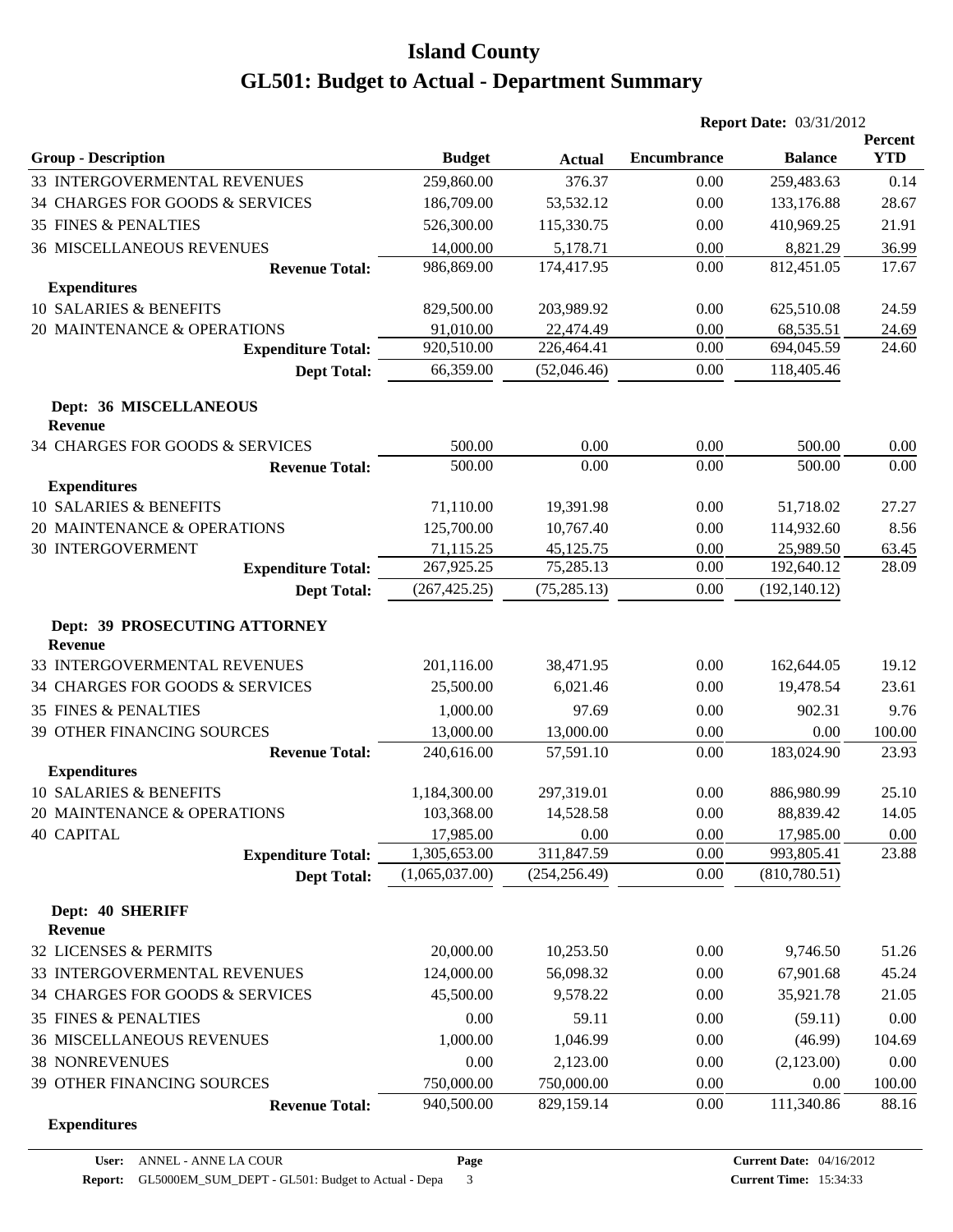|                                                 |                |               | <b>Report Date: 03/31/2012</b> |                |                       |
|-------------------------------------------------|----------------|---------------|--------------------------------|----------------|-----------------------|
| <b>Group - Description</b>                      | <b>Budget</b>  | <b>Actual</b> | <b>Encumbrance</b>             | <b>Balance</b> | Percent<br><b>YTD</b> |
| 33 INTERGOVERMENTAL REVENUES                    | 259,860.00     | 376.37        | 0.00                           | 259,483.63     | 0.14                  |
| 34 CHARGES FOR GOODS & SERVICES                 | 186,709.00     | 53,532.12     | 0.00                           | 133,176.88     | 28.67                 |
| <b>35 FINES &amp; PENALTIES</b>                 | 526,300.00     | 115,330.75    | 0.00                           | 410,969.25     | 21.91                 |
| <b>36 MISCELLANEOUS REVENUES</b>                | 14,000.00      | 5,178.71      | 0.00                           | 8,821.29       | 36.99                 |
| <b>Revenue Total:</b>                           | 986,869.00     | 174,417.95    | 0.00                           | 812,451.05     | 17.67                 |
| <b>Expenditures</b>                             |                |               |                                |                |                       |
| 10 SALARIES & BENEFITS                          | 829,500.00     | 203,989.92    | 0.00                           | 625,510.08     | 24.59                 |
| 20 MAINTENANCE & OPERATIONS                     | 91,010.00      | 22,474.49     | 0.00                           | 68,535.51      | 24.69                 |
| <b>Expenditure Total:</b>                       | 920,510.00     | 226,464.41    | 0.00                           | 694,045.59     | 24.60                 |
| <b>Dept Total:</b>                              | 66,359.00      | (52,046.46)   | 0.00                           | 118,405.46     |                       |
| Dept: 36 MISCELLANEOUS<br><b>Revenue</b>        |                |               |                                |                |                       |
| 34 CHARGES FOR GOODS & SERVICES                 | 500.00         | 0.00          | 0.00                           | 500.00         | 0.00                  |
| <b>Revenue Total:</b>                           | 500.00         | 0.00          | 0.00                           | 500.00         | 0.00                  |
| <b>Expenditures</b>                             |                |               |                                |                |                       |
| 10 SALARIES & BENEFITS                          | 71,110.00      | 19,391.98     | 0.00                           | 51,718.02      | 27.27                 |
| 20 MAINTENANCE & OPERATIONS                     | 125,700.00     | 10,767.40     | 0.00                           | 114,932.60     | 8.56                  |
| <b>30 INTERGOVERMENT</b>                        | 71,115.25      | 45,125.75     | 0.00                           | 25,989.50      | 63.45                 |
| <b>Expenditure Total:</b>                       | 267,925.25     | 75,285.13     | 0.00                           | 192,640.12     | 28.09                 |
| <b>Dept Total:</b>                              | (267, 425.25)  | (75, 285.13)  | 0.00                           | (192, 140.12)  |                       |
| Dept: 39 PROSECUTING ATTORNEY<br><b>Revenue</b> |                |               |                                |                |                       |
| 33 INTERGOVERMENTAL REVENUES                    | 201,116.00     | 38,471.95     | 0.00                           | 162,644.05     | 19.12                 |
| 34 CHARGES FOR GOODS & SERVICES                 | 25,500.00      | 6,021.46      | 0.00                           | 19,478.54      | 23.61                 |
| <b>35 FINES &amp; PENALTIES</b>                 | 1,000.00       | 97.69         | 0.00                           | 902.31         | 9.76                  |
| 39 OTHER FINANCING SOURCES                      | 13,000.00      | 13,000.00     | 0.00                           | 0.00           | 100.00                |
| <b>Revenue Total:</b>                           | 240,616.00     | 57,591.10     | 0.00                           | 183,024.90     | 23.93                 |
| <b>Expenditures</b>                             |                |               |                                |                |                       |
| 10 SALARIES & BENEFITS                          | 1,184,300.00   | 297,319.01    | 0.00                           | 886,980.99     | 25.10                 |
| 20 MAINTENANCE & OPERATIONS                     | 103,368.00     | 14,528.58     | $0.00\,$                       | 88,839.42      | 14.05                 |
| <b>40 CAPITAL</b>                               | 17,985.00      | 0.00          | 0.00                           | 17,985.00      | 0.00                  |
| <b>Expenditure Total:</b>                       | 1,305,653.00   | 311,847.59    | 0.00                           | 993,805.41     | 23.88                 |
| <b>Dept Total:</b>                              | (1,065,037.00) | (254, 256.49) | 0.00                           | (810, 780.51)  |                       |
| Dept: 40 SHERIFF<br><b>Revenue</b>              |                |               |                                |                |                       |
| 32 LICENSES & PERMITS                           | 20,000.00      | 10,253.50     | 0.00                           | 9,746.50       | 51.26                 |
| 33 INTERGOVERMENTAL REVENUES                    | 124,000.00     | 56,098.32     | 0.00                           | 67,901.68      | 45.24                 |
| 34 CHARGES FOR GOODS & SERVICES                 | 45,500.00      | 9,578.22      | 0.00                           | 35,921.78      | 21.05                 |
| 35 FINES & PENALTIES                            | 0.00           | 59.11         | 0.00                           | (59.11)        | 0.00                  |
| <b>36 MISCELLANEOUS REVENUES</b>                | 1,000.00       | 1,046.99      | 0.00                           | (46.99)        | 104.69                |
| <b>38 NONREVENUES</b>                           | 0.00           | 2,123.00      | 0.00                           | (2,123.00)     | 0.00                  |
| 39 OTHER FINANCING SOURCES                      | 750,000.00     | 750,000.00    | 0.00                           | 0.00           | 100.00                |
| <b>Revenue Total:</b>                           | 940,500.00     | 829,159.14    | 0.00                           | 111,340.86     | 88.16                 |
| <b>Expenditures</b>                             |                |               |                                |                |                       |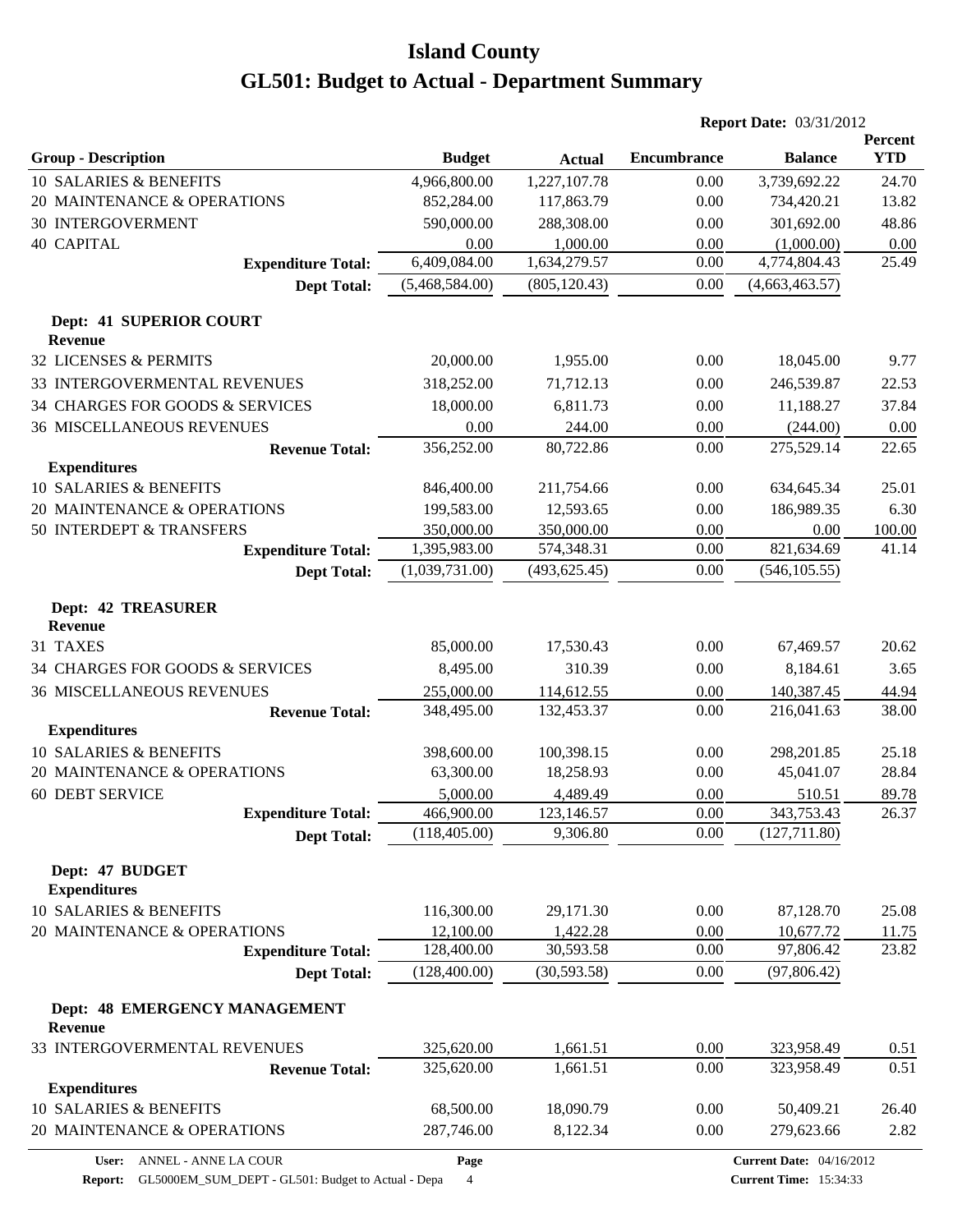|                                                 |                |               | <b>Report Date: 03/31/2012</b> |                |                       |
|-------------------------------------------------|----------------|---------------|--------------------------------|----------------|-----------------------|
| <b>Group - Description</b>                      | <b>Budget</b>  | <b>Actual</b> | <b>Encumbrance</b>             | <b>Balance</b> | Percent<br><b>YTD</b> |
| 10 SALARIES & BENEFITS                          | 4,966,800.00   | 1,227,107.78  | 0.00                           | 3,739,692.22   | 24.70                 |
| 20 MAINTENANCE & OPERATIONS                     | 852,284.00     | 117,863.79    | 0.00                           | 734,420.21     | 13.82                 |
| <b>30 INTERGOVERMENT</b>                        | 590,000.00     | 288,308.00    | 0.00                           | 301,692.00     | 48.86                 |
| <b>40 CAPITAL</b>                               | 0.00           | 1,000.00      | 0.00                           | (1,000.00)     | 0.00                  |
| <b>Expenditure Total:</b>                       | 6,409,084.00   | 1,634,279.57  | 0.00                           | 4,774,804.43   | 25.49                 |
| <b>Dept Total:</b>                              | (5,468,584.00) | (805, 120.43) | 0.00                           | (4,663,463.57) |                       |
| Dept: 41 SUPERIOR COURT<br><b>Revenue</b>       |                |               |                                |                |                       |
| 32 LICENSES & PERMITS                           | 20,000.00      | 1,955.00      | 0.00                           | 18,045.00      | 9.77                  |
| 33 INTERGOVERMENTAL REVENUES                    | 318,252.00     | 71,712.13     | 0.00                           | 246,539.87     | 22.53                 |
| 34 CHARGES FOR GOODS & SERVICES                 | 18,000.00      | 6,811.73      | 0.00                           | 11,188.27      | 37.84                 |
| <b>36 MISCELLANEOUS REVENUES</b>                | 0.00           | 244.00        | 0.00                           | (244.00)       | 0.00                  |
| <b>Revenue Total:</b>                           | 356,252.00     | 80,722.86     | 0.00                           | 275,529.14     | 22.65                 |
| <b>Expenditures</b>                             |                |               |                                |                |                       |
| 10 SALARIES & BENEFITS                          | 846,400.00     | 211,754.66    | 0.00                           | 634, 645. 34   | 25.01                 |
| 20 MAINTENANCE & OPERATIONS                     | 199,583.00     | 12,593.65     | 0.00                           | 186,989.35     | 6.30                  |
| 50 INTERDEPT & TRANSFERS                        | 350,000.00     | 350,000.00    | 0.00                           | 0.00           | 100.00                |
| <b>Expenditure Total:</b>                       | 1,395,983.00   | 574,348.31    | 0.00                           | 821,634.69     | 41.14                 |
| <b>Dept Total:</b>                              | (1,039,731.00) | (493, 625.45) | 0.00                           | (546, 105.55)  |                       |
| <b>Dept: 42 TREASURER</b><br><b>Revenue</b>     |                |               |                                |                |                       |
| 31 TAXES                                        | 85,000.00      | 17,530.43     | 0.00                           | 67,469.57      | 20.62                 |
| 34 CHARGES FOR GOODS & SERVICES                 | 8,495.00       | 310.39        | 0.00                           | 8,184.61       | 3.65                  |
| <b>36 MISCELLANEOUS REVENUES</b>                | 255,000.00     | 114,612.55    | 0.00                           | 140,387.45     | 44.94                 |
| <b>Revenue Total:</b>                           | 348,495.00     | 132,453.37    | 0.00                           | 216,041.63     | 38.00                 |
| <b>Expenditures</b>                             |                |               |                                |                |                       |
| 10 SALARIES & BENEFITS                          | 398,600.00     | 100,398.15    | 0.00                           | 298,201.85     | 25.18                 |
| 20 MAINTENANCE & OPERATIONS                     | 63,300.00      | 18,258.93     | 0.00                           | 45,041.07      | 28.84                 |
| <b>60 DEBT SERVICE</b>                          | 5,000.00       | 4,489.49      | 0.00                           | 510.51         | 89.78                 |
| <b>Expenditure Total:</b>                       | 466,900.00     | 123,146.57    | 0.00                           | 343,753.43     | 26.37                 |
| <b>Dept Total:</b>                              | (118, 405.00)  | 9,306.80      | 0.00                           | (127, 711.80)  |                       |
| Dept: 47 BUDGET<br><b>Expenditures</b>          |                |               |                                |                |                       |
| 10 SALARIES & BENEFITS                          | 116,300.00     | 29,171.30     | 0.00                           | 87,128.70      | 25.08                 |
| 20 MAINTENANCE & OPERATIONS                     | 12,100.00      | 1,422.28      | 0.00                           | 10,677.72      | 11.75                 |
| <b>Expenditure Total:</b>                       | 128,400.00     | 30,593.58     | 0.00                           | 97,806.42      | 23.82                 |
| <b>Dept Total:</b>                              | (128, 400.00)  | (30, 593.58)  | 0.00                           | (97, 806.42)   |                       |
| Dept: 48 EMERGENCY MANAGEMENT<br><b>Revenue</b> |                |               |                                |                |                       |
| 33 INTERGOVERMENTAL REVENUES                    | 325,620.00     | 1,661.51      | 0.00                           | 323,958.49     | 0.51                  |
| <b>Revenue Total:</b>                           | 325,620.00     | 1,661.51      | 0.00                           | 323,958.49     | 0.51                  |
| <b>Expenditures</b>                             |                |               |                                |                |                       |
| 10 SALARIES & BENEFITS                          | 68,500.00      | 18,090.79     | 0.00                           | 50,409.21      | 26.40                 |
| 20 MAINTENANCE & OPERATIONS                     | 287,746.00     | 8,122.34      | 0.00                           | 279,623.66     | 2.82                  |

**User:** ANNEL - ANNE LA COUR

**Page**

**Report:** GL5000EM\_SUM\_DEPT - GL501: Budget to Actual - Depa 4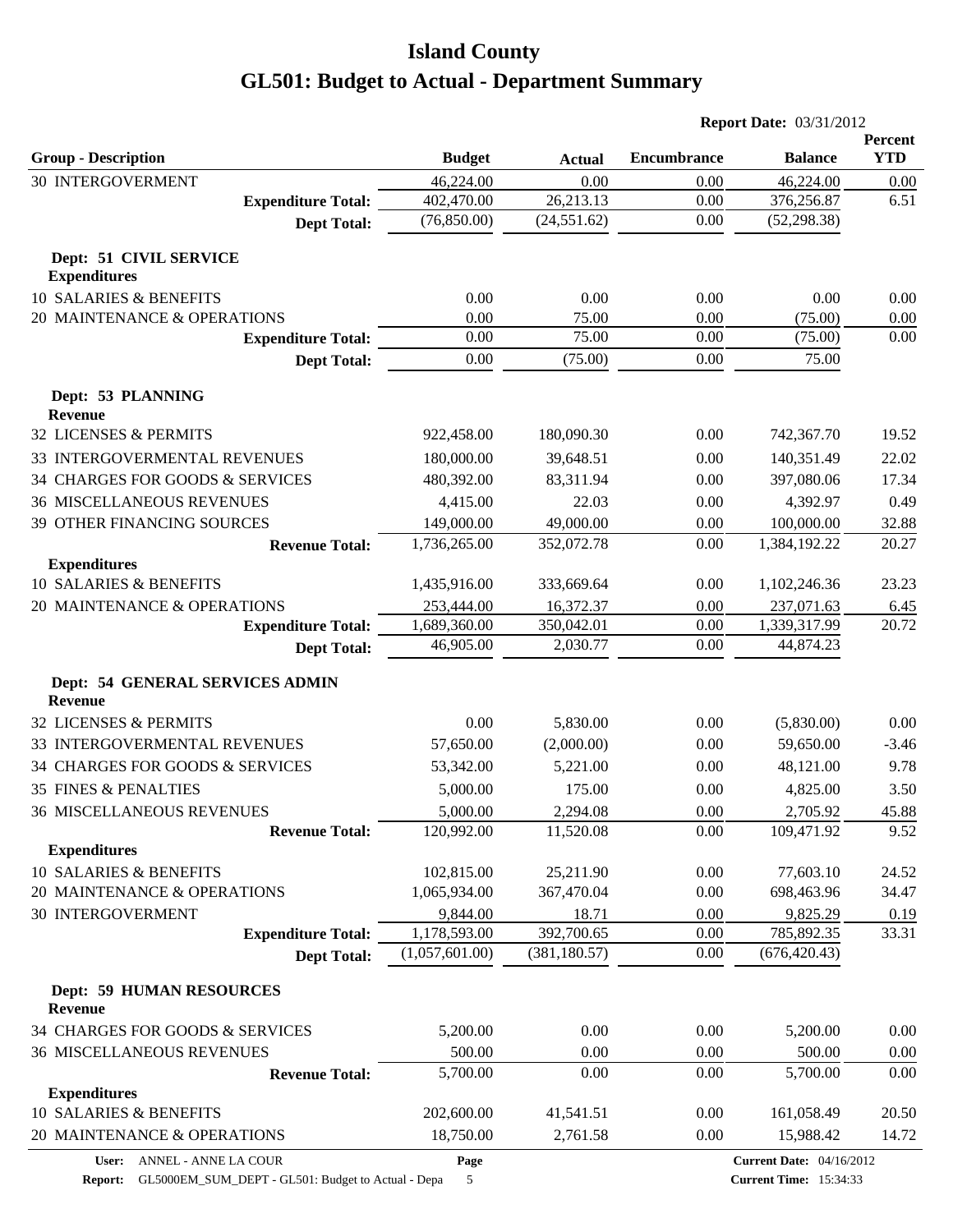|                                                          | <b>Report Date: 03/31/2012</b> |               |                    |                                 |                       |
|----------------------------------------------------------|--------------------------------|---------------|--------------------|---------------------------------|-----------------------|
| <b>Group - Description</b>                               | <b>Budget</b>                  | <b>Actual</b> | <b>Encumbrance</b> | <b>Balance</b>                  | Percent<br><b>YTD</b> |
| <b>30 INTERGOVERMENT</b>                                 | 46,224.00                      | 0.00          | 0.00               | 46,224.00                       | 0.00                  |
| <b>Expenditure Total:</b>                                | 402,470.00                     | 26,213.13     | 0.00               | 376,256.87                      | 6.51                  |
| <b>Dept Total:</b>                                       | (76,850.00)                    | (24, 551.62)  | 0.00               | (52, 298.38)                    |                       |
| Dept: 51 CIVIL SERVICE<br><b>Expenditures</b>            |                                |               |                    |                                 |                       |
| 10 SALARIES & BENEFITS                                   | 0.00                           | 0.00          | 0.00               | 0.00                            | 0.00                  |
| 20 MAINTENANCE & OPERATIONS                              | 0.00                           | 75.00         | 0.00               | (75.00)                         | 0.00                  |
| <b>Expenditure Total:</b>                                | 0.00                           | 75.00         | 0.00               | (75.00)                         | 0.00                  |
| <b>Dept Total:</b>                                       | 0.00                           | (75.00)       | 0.00               | 75.00                           |                       |
| Dept: 53 PLANNING<br><b>Revenue</b>                      |                                |               |                    |                                 |                       |
| 32 LICENSES & PERMITS                                    | 922,458.00                     | 180,090.30    | 0.00               | 742,367.70                      | 19.52                 |
| 33 INTERGOVERMENTAL REVENUES                             | 180,000.00                     | 39,648.51     | 0.00               | 140,351.49                      | 22.02                 |
| 34 CHARGES FOR GOODS & SERVICES                          | 480,392.00                     | 83,311.94     | 0.00               | 397,080.06                      | 17.34                 |
| <b>36 MISCELLANEOUS REVENUES</b>                         | 4,415.00                       | 22.03         | 0.00               | 4,392.97                        | 0.49                  |
| 39 OTHER FINANCING SOURCES                               | 149,000.00                     | 49,000.00     | 0.00               | 100,000.00                      | 32.88                 |
| <b>Revenue Total:</b>                                    | 1,736,265.00                   | 352,072.78    | 0.00               | 1,384,192.22                    | 20.27                 |
| <b>Expenditures</b>                                      |                                |               |                    |                                 |                       |
| 10 SALARIES & BENEFITS                                   | 1,435,916.00                   | 333,669.64    | 0.00               | 1,102,246.36                    | 23.23                 |
| 20 MAINTENANCE & OPERATIONS                              | 253,444.00                     | 16,372.37     | 0.00               | 237,071.63                      | 6.45                  |
| <b>Expenditure Total:</b>                                | 1,689,360.00                   | 350,042.01    | 0.00               | 1,339,317.99                    | 20.72                 |
| <b>Dept Total:</b>                                       | 46,905.00                      | 2,030.77      | 0.00               | 44,874.23                       |                       |
| <b>Dept: 54 GENERAL SERVICES ADMIN</b><br><b>Revenue</b> |                                |               |                    |                                 |                       |
| 32 LICENSES & PERMITS                                    | 0.00                           | 5,830.00      | 0.00               | (5,830.00)                      | 0.00                  |
| 33 INTERGOVERMENTAL REVENUES                             | 57,650.00                      | (2,000.00)    | 0.00               | 59,650.00                       | $-3.46$               |
| 34 CHARGES FOR GOODS & SERVICES                          | 53,342.00                      | 5,221.00      | 0.00               | 48,121.00                       | 9.78                  |
| <b>35 FINES &amp; PENALTIES</b>                          | 5,000.00                       | 175.00        | 0.00               | 4,825.00                        | 3.50                  |
| 36 MISCELLANEOUS REVENUES                                | 5,000.00                       | 2,294.08      | $0.00\,$           | 2,705.92                        | 45.88                 |
| <b>Revenue Total:</b>                                    | 120,992.00                     | 11,520.08     | 0.00               | 109,471.92                      | 9.52                  |
| <b>Expenditures</b>                                      |                                |               |                    |                                 |                       |
| 10 SALARIES & BENEFITS                                   | 102,815.00                     | 25,211.90     | 0.00               | 77,603.10                       | 24.52                 |
| 20 MAINTENANCE & OPERATIONS                              | 1,065,934.00                   | 367,470.04    | 0.00               | 698,463.96                      | 34.47                 |
| <b>30 INTERGOVERMENT</b>                                 | 9,844.00                       | 18.71         | 0.00               | 9,825.29                        | 0.19                  |
| <b>Expenditure Total:</b>                                | 1,178,593.00                   | 392,700.65    | 0.00               | 785,892.35                      | 33.31                 |
| <b>Dept Total:</b>                                       | (1,057,601.00)                 | (381, 180.57) | 0.00               | (676, 420.43)                   |                       |
| <b>Dept: 59 HUMAN RESOURCES</b><br>Revenue               |                                |               |                    |                                 |                       |
| 34 CHARGES FOR GOODS & SERVICES                          | 5,200.00                       | 0.00          | 0.00               | 5,200.00                        | 0.00                  |
| <b>36 MISCELLANEOUS REVENUES</b>                         | 500.00                         | 0.00          | 0.00               | 500.00                          | 0.00                  |
| <b>Revenue Total:</b>                                    | 5,700.00                       | 0.00          | 0.00               | 5,700.00                        | 0.00                  |
| <b>Expenditures</b>                                      |                                |               |                    |                                 |                       |
| 10 SALARIES & BENEFITS                                   | 202,600.00                     | 41,541.51     | 0.00               | 161,058.49                      | 20.50                 |
| 20 MAINTENANCE & OPERATIONS                              | 18,750.00                      | 2,761.58      | 0.00               | 15,988.42                       | 14.72                 |
| ANNEL - ANNE LA COUR<br>User:                            | Page                           |               |                    | <b>Current Date: 04/16/2012</b> |                       |

**Report:** GL5000EM\_SUM\_DEPT - GL501: Budget to Actual - Depa 5

**Current Time:** 15:34:33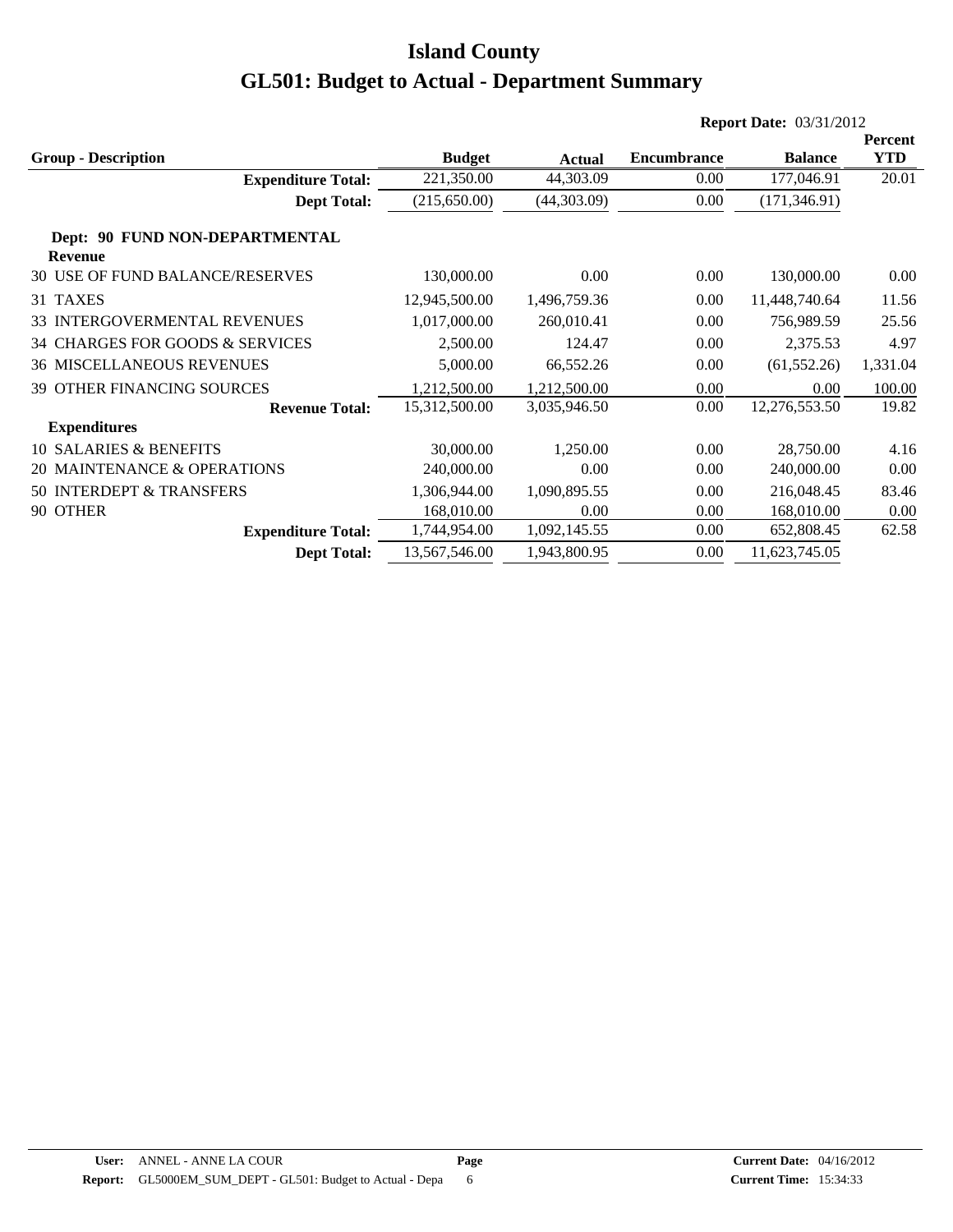|                                                  |               |               |                    | <b>Report Date: 03/31/2012</b> |                |
|--------------------------------------------------|---------------|---------------|--------------------|--------------------------------|----------------|
|                                                  |               |               |                    |                                | <b>Percent</b> |
| <b>Group - Description</b>                       | <b>Budget</b> | <b>Actual</b> | <b>Encumbrance</b> | <b>Balance</b>                 | <b>YTD</b>     |
| <b>Expenditure Total:</b>                        | 221,350.00    | 44,303.09     | 0.00               | 177,046.91                     | 20.01          |
| <b>Dept Total:</b>                               | (215,650.00)  | (44,303.09)   | 0.00               | (171, 346.91)                  |                |
| Dept: 90 FUND NON-DEPARTMENTAL<br><b>Revenue</b> |               |               |                    |                                |                |
| 30 USE OF FUND BALANCE/RESERVES                  | 130,000.00    | 0.00          | 0.00               | 130,000.00                     | 0.00           |
| 31 TAXES                                         | 12,945,500.00 | 1,496,759.36  | 0.00               | 11,448,740.64                  | 11.56          |
| <b>33 INTERGOVERMENTAL REVENUES</b>              | 1,017,000.00  | 260,010.41    | 0.00               | 756,989.59                     | 25.56          |
| 34 CHARGES FOR GOODS & SERVICES                  | 2,500.00      | 124.47        | 0.00               | 2,375.53                       | 4.97           |
| <b>36 MISCELLANEOUS REVENUES</b>                 | 5,000.00      | 66,552.26     | 0.00               | (61, 552.26)                   | 1,331.04       |
| <b>39 OTHER FINANCING SOURCES</b>                | 1,212,500.00  | 1,212,500.00  | 0.00               | 0.00                           | 100.00         |
| <b>Revenue Total:</b>                            | 15,312,500.00 | 3,035,946.50  | 0.00               | 12,276,553.50                  | 19.82          |
| <b>Expenditures</b>                              |               |               |                    |                                |                |
| 10 SALARIES & BENEFITS                           | 30,000.00     | 1,250.00      | 0.00               | 28,750.00                      | 4.16           |
| 20 MAINTENANCE & OPERATIONS                      | 240,000.00    | 0.00          | 0.00               | 240,000.00                     | 0.00           |
| 50 INTERDEPT & TRANSFERS                         | 1,306,944.00  | 1,090,895.55  | 0.00               | 216,048.45                     | 83.46          |
| 90 OTHER                                         | 168,010.00    | 0.00          | 0.00               | 168,010.00                     | 0.00           |
| <b>Expenditure Total:</b>                        | 1,744,954.00  | 1,092,145.55  | 0.00               | 652,808.45                     | 62.58          |
| <b>Dept Total:</b>                               | 13,567,546.00 | 1,943,800.95  | 0.00               | 11,623,745.05                  |                |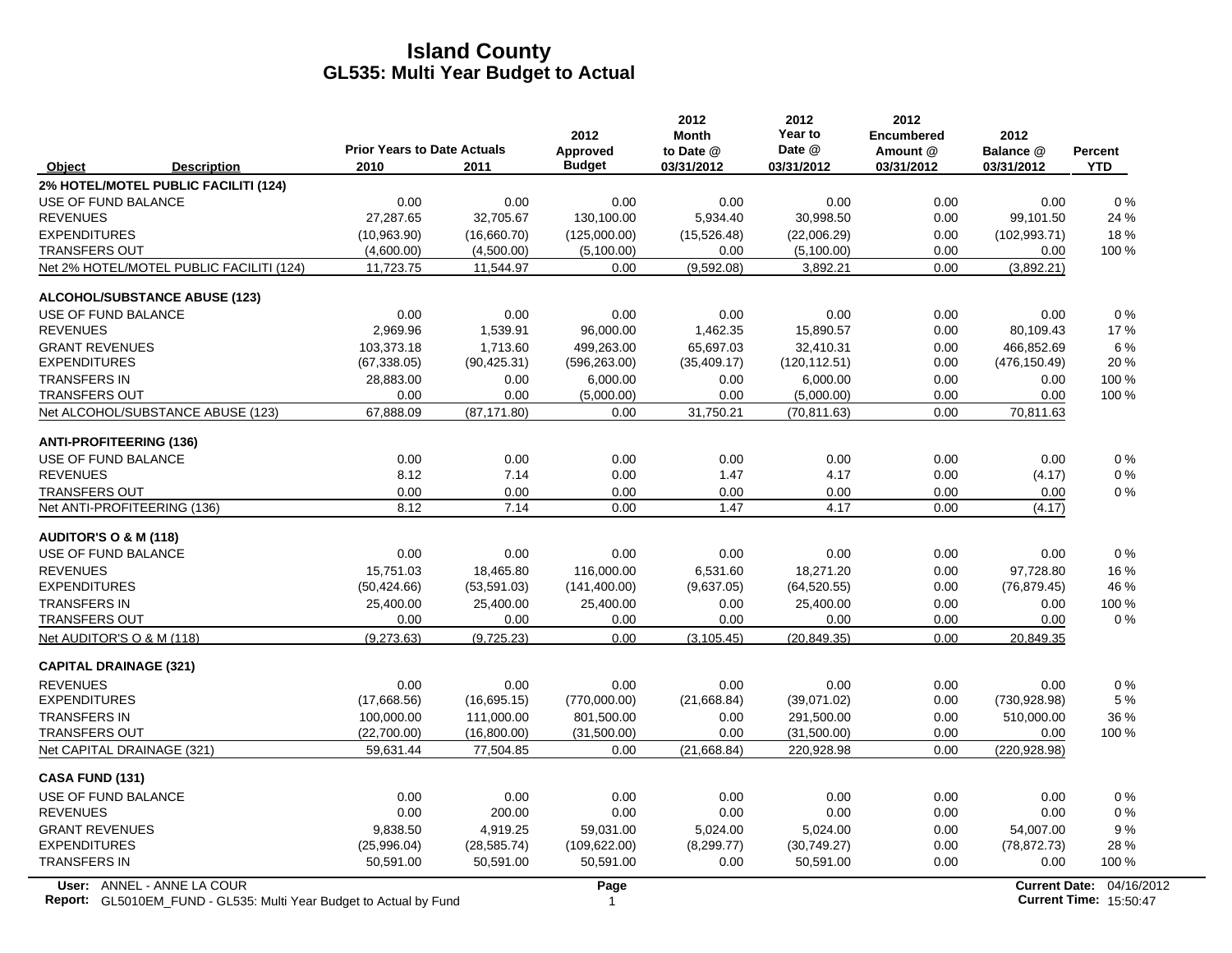|                                                                                                  | <b>Prior Years to Date Actuals</b> |              | 2012<br>Approved | 2012<br><b>Month</b><br>to Date @ | 2012<br>Year to<br>Date @ | 2012<br><b>Encumbered</b><br>Amount @ | 2012<br>Balance @ | <b>Percent</b>                                            |
|--------------------------------------------------------------------------------------------------|------------------------------------|--------------|------------------|-----------------------------------|---------------------------|---------------------------------------|-------------------|-----------------------------------------------------------|
| Object<br><b>Description</b>                                                                     | 2010                               | 2011         | <b>Budget</b>    | 03/31/2012                        | 03/31/2012                | 03/31/2012                            | 03/31/2012        | <b>YTD</b>                                                |
| 2% HOTEL/MOTEL PUBLIC FACILITI (124)                                                             |                                    |              |                  |                                   |                           |                                       |                   |                                                           |
| USE OF FUND BALANCE                                                                              | 0.00                               | 0.00         | 0.00             | 0.00                              | 0.00                      | 0.00                                  | 0.00              | $0\%$                                                     |
| <b>REVENUES</b>                                                                                  | 27,287.65                          | 32,705.67    | 130,100.00       | 5,934.40                          | 30,998.50                 | 0.00                                  | 99,101.50         | 24 %                                                      |
| <b>EXPENDITURES</b>                                                                              | (10,963.90)                        | (16,660.70)  | (125,000.00)     | (15,526.48)                       | (22,006.29)               | 0.00                                  | (102, 993.71)     | 18%                                                       |
| <b>TRANSFERS OUT</b>                                                                             | (4,600.00)                         | (4,500.00)   | (5,100.00)       | 0.00                              | (5,100.00)                | 0.00                                  | 0.00              | 100 %                                                     |
| Net 2% HOTEL/MOTEL PUBLIC FACILITI (124)                                                         | 11,723.75                          | 11,544.97    | 0.00             | (9,592.08)                        | 3,892.21                  | 0.00                                  | (3,892.21)        |                                                           |
| <b>ALCOHOL/SUBSTANCE ABUSE (123)</b>                                                             |                                    |              |                  |                                   |                           |                                       |                   |                                                           |
| USE OF FUND BALANCE                                                                              | 0.00                               | 0.00         | 0.00             | 0.00                              | 0.00                      | 0.00                                  | 0.00              | $0\%$                                                     |
| <b>REVENUES</b>                                                                                  | 2,969.96                           | 1,539.91     | 96,000.00        | 1,462.35                          | 15,890.57                 | 0.00                                  | 80,109.43         | 17%                                                       |
| <b>GRANT REVENUES</b>                                                                            | 103,373.18                         | 1,713.60     | 499,263.00       | 65,697.03                         | 32,410.31                 | 0.00                                  | 466,852.69        | 6%                                                        |
| <b>EXPENDITURES</b>                                                                              | (67, 338.05)                       | (90, 425.31) | (596, 263.00)    | (35, 409.17)                      | (120, 112.51)             | 0.00                                  | (476, 150.49)     | 20%                                                       |
| <b>TRANSFERS IN</b>                                                                              | 28,883.00                          | 0.00         | 6,000.00         | 0.00                              | 6,000.00                  | 0.00                                  | 0.00              | 100 %                                                     |
| <b>TRANSFERS OUT</b>                                                                             | 0.00                               | 0.00         | (5,000.00)       | 0.00                              | (5,000.00)                | 0.00                                  | 0.00              | 100 %                                                     |
| Net ALCOHOL/SUBSTANCE ABUSE (123)                                                                | 67,888.09                          | (87, 171.80) | 0.00             | 31,750.21                         | (70.811.63)               | 0.00                                  | 70,811.63         |                                                           |
| <b>ANTI-PROFITEERING (136)</b>                                                                   |                                    |              |                  |                                   |                           |                                       |                   |                                                           |
| USE OF FUND BALANCE                                                                              | 0.00                               | 0.00         | 0.00             | 0.00                              | 0.00                      | 0.00                                  | 0.00              | 0%                                                        |
| <b>REVENUES</b>                                                                                  | 8.12                               | 7.14         | 0.00             | 1.47                              | 4.17                      | 0.00                                  | (4.17)            | 0%                                                        |
| <b>TRANSFERS OUT</b>                                                                             | 0.00                               | 0.00         | 0.00             | 0.00                              | 0.00                      | 0.00                                  | 0.00              | $0\%$                                                     |
| Net ANTI-PROFITEERING (136)                                                                      | 8.12                               | 7.14         | 0.00             | 1.47                              | 4.17                      | 0.00                                  | (4.17)            |                                                           |
| <b>AUDITOR'S O &amp; M (118)</b>                                                                 |                                    |              |                  |                                   |                           |                                       |                   |                                                           |
| USE OF FUND BALANCE                                                                              | 0.00                               | 0.00         | 0.00             | 0.00                              | 0.00                      | 0.00                                  | 0.00              | $0\%$                                                     |
| <b>REVENUES</b>                                                                                  | 15,751.03                          | 18,465.80    | 116,000.00       | 6,531.60                          | 18,271.20                 | 0.00                                  | 97,728.80         | 16 %                                                      |
| <b>EXPENDITURES</b>                                                                              | (50, 424.66)                       | (53, 591.03) | (141, 400.00)    | (9,637.05)                        | (64, 520.55)              | 0.00                                  | (76, 879.45)      | 46 %                                                      |
| <b>TRANSFERS IN</b>                                                                              | 25,400.00                          | 25,400.00    | 25,400.00        | 0.00                              | 25,400.00                 | 0.00                                  | 0.00              | 100 %                                                     |
| <b>TRANSFERS OUT</b>                                                                             | 0.00                               | 0.00         | 0.00             | 0.00                              | 0.00                      | 0.00                                  | 0.00              | $0\%$                                                     |
| Net AUDITOR'S O & M (118)                                                                        | (9,273.63)                         | (9,725.23)   | 0.00             | (3, 105.45)                       | (20, 849.35)              | 0.00                                  | 20,849.35         |                                                           |
| <b>CAPITAL DRAINAGE (321)</b>                                                                    |                                    |              |                  |                                   |                           |                                       |                   |                                                           |
| <b>REVENUES</b>                                                                                  | 0.00                               | 0.00         | 0.00             | 0.00                              | 0.00                      | 0.00                                  | 0.00              | 0%                                                        |
| <b>EXPENDITURES</b>                                                                              | (17,668.56)                        | (16,695.15)  | (770,000.00)     | (21,668.84)                       | (39,071.02)               | 0.00                                  | (730, 928.98)     | 5 %                                                       |
| <b>TRANSFERS IN</b>                                                                              | 100,000.00                         | 111,000.00   | 801,500.00       | 0.00                              | 291,500.00                | 0.00                                  | 510,000.00        | 36 %                                                      |
| <b>TRANSFERS OUT</b>                                                                             | (22,700.00)                        | (16,800.00)  | (31,500.00)      | 0.00                              | (31,500.00)               | 0.00                                  | 0.00              | 100 %                                                     |
| Net CAPITAL DRAINAGE (321)                                                                       | 59,631.44                          | 77,504.85    | 0.00             | (21,668.84)                       | 220,928.98                | 0.00                                  | (220, 928.98)     |                                                           |
| <b>CASA FUND (131)</b>                                                                           |                                    |              |                  |                                   |                           |                                       |                   |                                                           |
| USE OF FUND BALANCE                                                                              | 0.00                               | 0.00         | 0.00             | 0.00                              | 0.00                      | 0.00                                  | 0.00              | $0\%$                                                     |
| <b>REVENUES</b>                                                                                  | 0.00                               | 200.00       | 0.00             | 0.00                              | 0.00                      | 0.00                                  | 0.00              | 0%                                                        |
| <b>GRANT REVENUES</b>                                                                            | 9,838.50                           | 4,919.25     | 59.031.00        | 5,024.00                          | 5,024.00                  | 0.00                                  | 54,007.00         | 9%                                                        |
| <b>EXPENDITURES</b>                                                                              | (25,996.04)                        | (28, 585.74) | (109, 622.00)    | (8, 299.77)                       | (30,749.27)               | 0.00                                  | (78, 872.73)      | 28 %                                                      |
| <b>TRANSFERS IN</b>                                                                              | 50,591.00                          | 50,591.00    | 50,591.00        | 0.00                              | 50,591.00                 | 0.00                                  | 0.00              | 100 %                                                     |
| User: ANNEL - ANNE LA COUR<br>Report: GL5010EM_FUND - GL535: Multi Year Budget to Actual by Fund |                                    |              | Page<br>1        |                                   |                           |                                       |                   | Current Date: 04/16/2012<br><b>Current Time: 15:50:47</b> |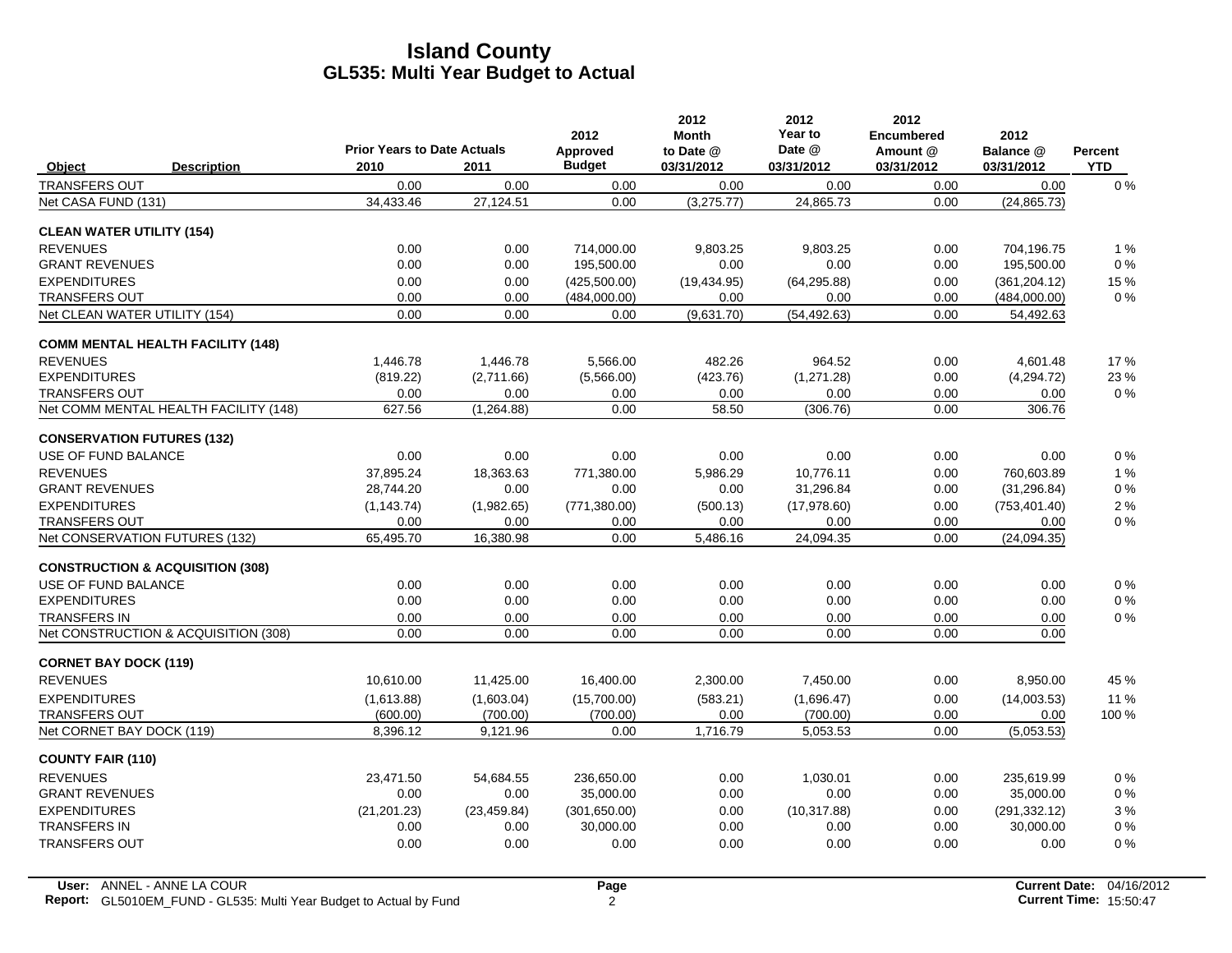|                                             | <b>Prior Years to Date Actuals</b> |              | 2012<br>Approved | 2012<br><b>Month</b><br>to Date @ | 2012<br>Year to<br>Date @ | 2012<br><b>Encumbered</b><br>Amount @ | 2012<br>Balance @ | Percent    |
|---------------------------------------------|------------------------------------|--------------|------------------|-----------------------------------|---------------------------|---------------------------------------|-------------------|------------|
| <b>Description</b><br>Object                | 2010                               | 2011         | <b>Budget</b>    | 03/31/2012                        | 03/31/2012                | 03/31/2012                            | 03/31/2012        | <b>YTD</b> |
| <b>TRANSFERS OUT</b>                        | 0.00                               | 0.00         | 0.00             | 0.00                              | 0.00                      | 0.00                                  | 0.00              | $0\%$      |
| Net CASA FUND (131)                         | 34,433.46                          | 27,124.51    | 0.00             | (3,275.77)                        | 24,865.73                 | 0.00                                  | (24, 865.73)      |            |
| <b>CLEAN WATER UTILITY (154)</b>            |                                    |              |                  |                                   |                           |                                       |                   |            |
| <b>REVENUES</b>                             | 0.00                               | 0.00         | 714,000.00       | 9,803.25                          | 9.803.25                  | 0.00                                  | 704,196.75        | 1%         |
| <b>GRANT REVENUES</b>                       | 0.00                               | 0.00         | 195,500.00       | 0.00                              | 0.00                      | 0.00                                  | 195,500.00        | $0\%$      |
| <b>EXPENDITURES</b>                         | 0.00                               | 0.00         | (425, 500.00)    | (19, 434.95)                      | (64, 295.88)              | 0.00                                  | (361, 204.12)     | 15 %       |
| <b>TRANSFERS OUT</b>                        | 0.00                               | 0.00         | (484,000.00)     | 0.00                              | 0.00                      | 0.00                                  | (484,000.00)      | 0%         |
| Net CLEAN WATER UTILITY (154)               | 0.00                               | 0.00         | 0.00             | (9,631.70)                        | (54, 492.63)              | 0.00                                  | 54,492.63         |            |
| <b>COMM MENTAL HEALTH FACILITY (148)</b>    |                                    |              |                  |                                   |                           |                                       |                   |            |
| <b>REVENUES</b>                             | 1,446.78                           | 1,446.78     | 5,566.00         | 482.26                            | 964.52                    | 0.00                                  | 4.601.48          | 17%        |
| <b>EXPENDITURES</b>                         | (819.22)                           | (2,711.66)   | (5,566.00)       | (423.76)                          | (1,271.28)                | 0.00                                  | (4,294.72)        | 23 %       |
| <b>TRANSFERS OUT</b>                        | 0.00                               | 0.00         | 0.00             | 0.00                              | 0.00                      | 0.00                                  | 0.00              | $0\%$      |
| Net COMM MENTAL HEALTH FACILITY (148)       | 627.56                             | (1,264.88)   | 0.00             | 58.50                             | (306.76)                  | 0.00                                  | 306.76            |            |
| <b>CONSERVATION FUTURES (132)</b>           |                                    |              |                  |                                   |                           |                                       |                   |            |
| USE OF FUND BALANCE                         | 0.00                               | 0.00         | 0.00             | 0.00                              | 0.00                      | 0.00                                  | 0.00              | $0\%$      |
| <b>REVENUES</b>                             | 37.895.24                          | 18,363.63    | 771,380.00       | 5.986.29                          | 10.776.11                 | 0.00                                  | 760.603.89        | 1%         |
| <b>GRANT REVENUES</b>                       | 28,744.20                          | 0.00         | 0.00             | 0.00                              | 31,296.84                 | 0.00                                  | (31, 296.84)      | $0\%$      |
| <b>EXPENDITURES</b>                         | (1, 143.74)                        | (1,982.65)   | (771, 380.00)    | (500.13)                          | (17,978.60)               | 0.00                                  | (753, 401.40)     | 2%         |
| <b>TRANSFERS OUT</b>                        | 0.00                               | 0.00         | 0.00             | 0.00                              | 0.00                      | 0.00                                  | 0.00              | $0\%$      |
| Net CONSERVATION FUTURES (132)              | 65,495.70                          | 16,380.98    | 0.00             | 5,486.16                          | 24,094.35                 | 0.00                                  | (24.094.35)       |            |
| <b>CONSTRUCTION &amp; ACQUISITION (308)</b> |                                    |              |                  |                                   |                           |                                       |                   |            |
| USE OF FUND BALANCE                         | 0.00                               | 0.00         | 0.00             | 0.00                              | 0.00                      | 0.00                                  | 0.00              | $0\%$      |
| <b>EXPENDITURES</b>                         | 0.00                               | 0.00         | 0.00             | 0.00                              | 0.00                      | 0.00                                  | 0.00              | $0\%$      |
| <b>TRANSFERS IN</b>                         | 0.00                               | 0.00         | 0.00             | 0.00                              | 0.00                      | 0.00                                  | 0.00              | $0\%$      |
| Net CONSTRUCTION & ACQUISITION (308)        | 0.00                               | 0.00         | 0.00             | 0.00                              | 0.00                      | 0.00                                  | 0.00              |            |
| <b>CORNET BAY DOCK (119)</b>                |                                    |              |                  |                                   |                           |                                       |                   |            |
| <b>REVENUES</b>                             | 10.610.00                          | 11,425.00    | 16,400.00        | 2,300.00                          | 7,450.00                  | 0.00                                  | 8.950.00          | 45 %       |
| <b>EXPENDITURES</b>                         | (1,613.88)                         | (1,603.04)   | (15,700.00)      | (583.21)                          | (1,696.47)                | 0.00                                  | (14,003.53)       | 11 %       |
| <b>TRANSFERS OUT</b>                        | (600.00)                           | (700.00)     | (700.00)         | 0.00                              | (700.00)                  | 0.00                                  | 0.00              | 100 %      |
| Net CORNET BAY DOCK (119)                   | 8.396.12                           | 9,121.96     | 0.00             | 1,716.79                          | 5.053.53                  | 0.00                                  | (5,053.53)        |            |
| <b>COUNTY FAIR (110)</b>                    |                                    |              |                  |                                   |                           |                                       |                   |            |
| <b>REVENUES</b>                             | 23,471.50                          | 54,684.55    | 236,650.00       | 0.00                              | 1,030.01                  | 0.00                                  | 235,619.99        | 0%         |
| <b>GRANT REVENUES</b>                       | 0.00                               | 0.00         | 35,000.00        | 0.00                              | 0.00                      | 0.00                                  | 35,000.00         | 0%         |
| <b>EXPENDITURES</b>                         | (21, 201.23)                       | (23, 459.84) | (301,650.00)     | 0.00                              | (10, 317.88)              | 0.00                                  | (291, 332.12)     | 3%         |
| <b>TRANSFERS IN</b>                         | 0.00                               | 0.00         | 30,000.00        | 0.00                              | 0.00                      | 0.00                                  | 30,000.00         | 0%         |
| <b>TRANSFERS OUT</b>                        | 0.00                               | 0.00         | 0.00             | 0.00                              | 0.00                      | 0.00                                  | 0.00              | 0%         |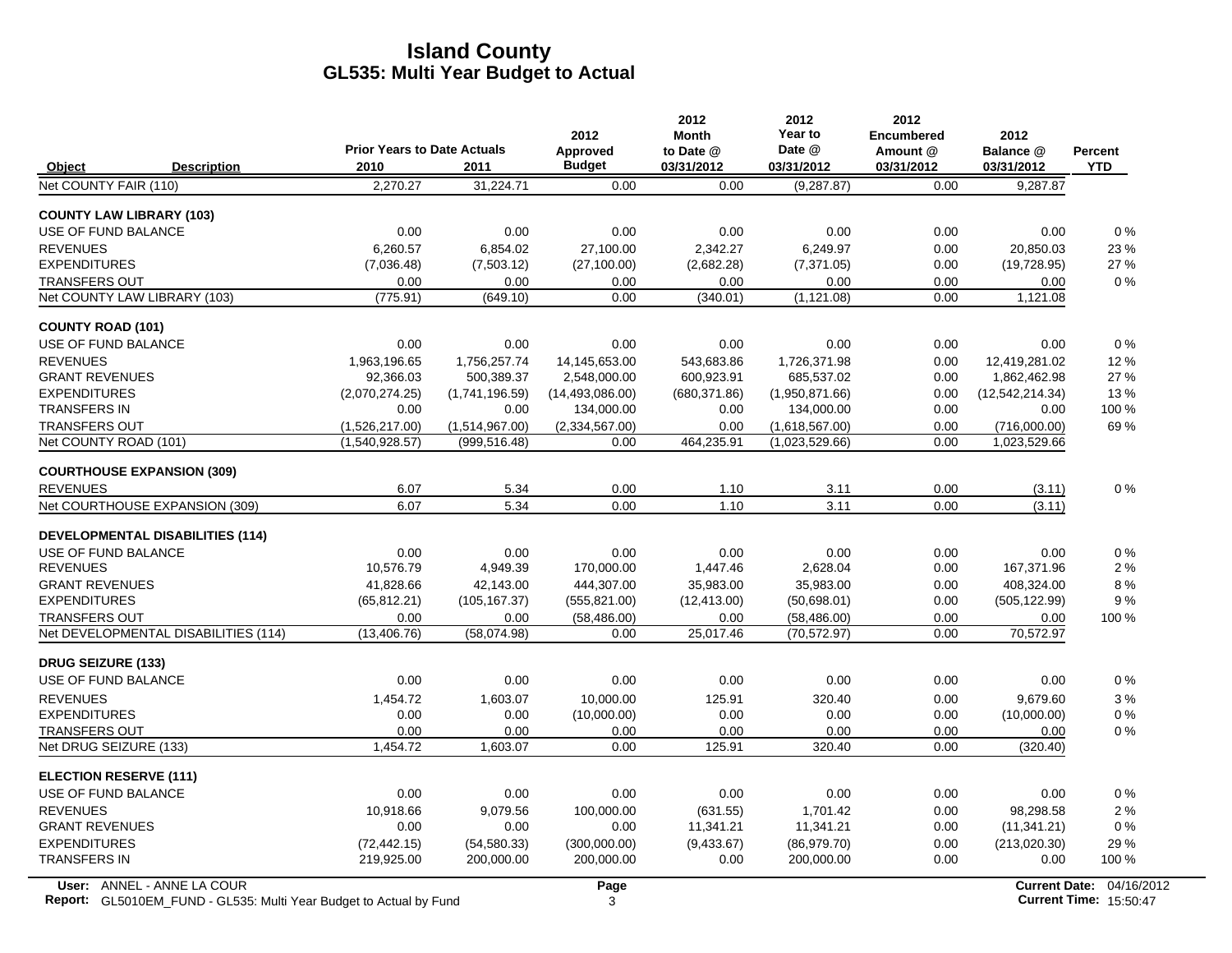|                                               |                                    |                                | 2012                   | 2012<br><b>Month</b> | 2012<br>Year to                  | 2012<br><b>Encumbered</b> | 2012                         |                |
|-----------------------------------------------|------------------------------------|--------------------------------|------------------------|----------------------|----------------------------------|---------------------------|------------------------------|----------------|
|                                               | <b>Prior Years to Date Actuals</b> |                                | Approved               | to Date @            | Date @                           | Amount @                  | Balance @                    | <b>Percent</b> |
| Object<br><b>Description</b>                  | 2010                               | 2011                           | <b>Budget</b>          | 03/31/2012           | 03/31/2012                       | 03/31/2012                | 03/31/2012                   | <b>YTD</b>     |
| Net COUNTY FAIR (110)                         | 2.270.27                           | 31.224.71                      | 0.00                   | 0.00                 | (9, 287.87)                      | 0.00                      | 9.287.87                     |                |
| <b>COUNTY LAW LIBRARY (103)</b>               |                                    |                                |                        |                      |                                  |                           |                              |                |
| USE OF FUND BALANCE                           | 0.00                               | 0.00                           | 0.00                   | 0.00                 | 0.00                             | 0.00                      | 0.00                         | 0%             |
| <b>REVENUES</b>                               | 6.260.57                           | 6.854.02                       | 27.100.00              | 2.342.27             | 6.249.97                         | 0.00                      | 20,850.03                    | 23%            |
| <b>EXPENDITURES</b>                           | (7,036.48)                         | (7,503.12)                     | (27, 100.00)           | (2,682.28)           | (7,371.05)                       | 0.00                      | (19, 728.95)                 | 27 %           |
| <b>TRANSFERS OUT</b>                          | 0.00                               | 0.00                           | 0.00                   | 0.00                 | 0.00                             | 0.00                      | 0.00                         | $0\%$          |
| Net COUNTY LAW LIBRARY (103)                  | (775.91)                           | (649.10)                       | 0.00                   | (340.01)             | (1, 121.08)                      | 0.00                      | 1,121.08                     |                |
| <b>COUNTY ROAD (101)</b>                      |                                    |                                |                        |                      |                                  |                           |                              |                |
| USE OF FUND BALANCE                           | 0.00                               | 0.00                           | 0.00                   | 0.00                 | 0.00                             | 0.00                      | 0.00                         | 0%             |
| <b>REVENUES</b>                               | 1,963,196.65                       | 1,756,257.74                   | 14,145,653.00          | 543,683.86           | 1,726,371.98                     | 0.00                      | 12,419,281.02                | 12%            |
| <b>GRANT REVENUES</b>                         | 92,366.03                          | 500,389.37                     | 2,548,000.00           | 600,923.91           | 685,537.02                       | 0.00                      | 1,862,462.98                 | 27 %           |
| <b>EXPENDITURES</b>                           | (2,070,274.25)                     | (1,741,196.59)                 | (14, 493, 086.00)      | (680, 371.86)        | (1,950,871.66)                   | 0.00                      | (12,542,214.34)              | 13%            |
| <b>TRANSFERS IN</b>                           | 0.00                               | 0.00                           | 134,000.00             | 0.00                 | 134,000.00                       | 0.00                      | 0.00                         | 100 %          |
| <b>TRANSFERS OUT</b><br>Net COUNTY ROAD (101) | (1,526,217.00)<br>(1,540,928.57)   | (1,514,967.00)<br>(999.516.48) | (2,334,567.00)<br>0.00 | 0.00<br>464,235.91   | (1,618,567.00)<br>(1,023,529.66) | 0.00<br>0.00              | (716,000.00)<br>1,023,529.66 | 69%            |
|                                               |                                    |                                |                        |                      |                                  |                           |                              |                |
| <b>COURTHOUSE EXPANSION (309)</b>             |                                    |                                |                        |                      |                                  |                           |                              |                |
| <b>REVENUES</b>                               | 6.07                               | 5.34                           | 0.00                   | 1.10                 | 3.11                             | 0.00                      | (3.11)                       | $0\%$          |
| Net COURTHOUSE EXPANSION (309)                | 6.07                               | 5.34                           | 0.00                   | 1.10                 | 3.11                             | 0.00                      | (3.11)                       |                |
| <b>DEVELOPMENTAL DISABILITIES (114)</b>       |                                    |                                |                        |                      |                                  |                           |                              |                |
| USE OF FUND BALANCE                           | 0.00                               | 0.00                           | 0.00                   | 0.00                 | 0.00                             | 0.00                      | 0.00                         | 0%             |
| <b>REVENUES</b>                               | 10,576.79                          | 4,949.39                       | 170,000.00             | 1,447.46             | 2,628.04                         | 0.00                      | 167,371.96                   | 2%             |
| <b>GRANT REVENUES</b>                         | 41.828.66                          | 42.143.00                      | 444.307.00             | 35.983.00            | 35.983.00                        | 0.00                      | 408,324.00                   | 8%             |
| <b>EXPENDITURES</b>                           | (65, 812.21)                       | (105, 167.37)                  | (555, 821.00)          | (12, 413.00)         | (50,698.01)                      | 0.00                      | (505, 122.99)                | 9%             |
| <b>TRANSFERS OUT</b>                          | 0.00                               | 0.00                           | (58, 486.00)           | 0.00                 | (58.486.00)                      | 0.00                      | 0.00                         | 100 %          |
| Net DEVELOPMENTAL DISABILITIES (114)          | (13, 406.76)                       | (58.074.98)                    | 0.00                   | 25,017.46            | (70, 572.97)                     | 0.00                      | 70,572.97                    |                |
| <b>DRUG SEIZURE (133)</b>                     |                                    |                                |                        |                      |                                  |                           |                              |                |
| USE OF FUND BALANCE                           | 0.00                               | 0.00                           | 0.00                   | 0.00                 | 0.00                             | 0.00                      | 0.00                         | 0%             |
| <b>REVENUES</b>                               | 1,454.72                           | 1,603.07                       | 10,000.00              | 125.91               | 320.40                           | 0.00                      | 9,679.60                     | 3%             |
| <b>EXPENDITURES</b>                           | 0.00                               | 0.00                           | (10,000.00)            | 0.00                 | 0.00                             | 0.00                      | (10,000.00)                  | $0\%$          |
| <b>TRANSFERS OUT</b>                          | 0.00                               | 0.00                           | 0.00                   | 0.00                 | 0.00                             | 0.00                      | 0.00                         | $0\%$          |
| Net DRUG SEIZURE (133)                        | 1,454.72                           | 1,603.07                       | 0.00                   | 125.91               | 320.40                           | 0.00                      | (320.40)                     |                |
| <b>ELECTION RESERVE (111)</b>                 |                                    |                                |                        |                      |                                  |                           |                              |                |
| USE OF FUND BALANCE                           | 0.00                               | 0.00                           | 0.00                   | 0.00                 | 0.00                             | 0.00                      | 0.00                         | $0\%$          |
| <b>REVENUES</b>                               | 10,918.66                          | 9,079.56                       | 100,000.00             | (631.55)             | 1.701.42                         | 0.00                      | 98.298.58                    | 2%             |
| <b>GRANT REVENUES</b>                         | 0.00                               | 0.00                           | 0.00                   | 11,341.21            | 11,341.21                        | 0.00                      | (11, 341.21)                 | $0\%$          |
| <b>EXPENDITURES</b>                           | (72, 442.15)                       | (54, 580.33)                   | (300,000.00)           | (9,433.67)           | (86,979.70)                      | 0.00                      | (213,020.30)                 | 29 %           |
| <b>TRANSFERS IN</b>                           | 219,925.00                         | 200,000.00                     | 200,000.00             | 0.00                 | 200,000.00                       | 0.00                      | 0.00                         | 100 %          |
|                                               |                                    |                                |                        |                      |                                  |                           |                              |                |

 $\overline{\phantom{a}}$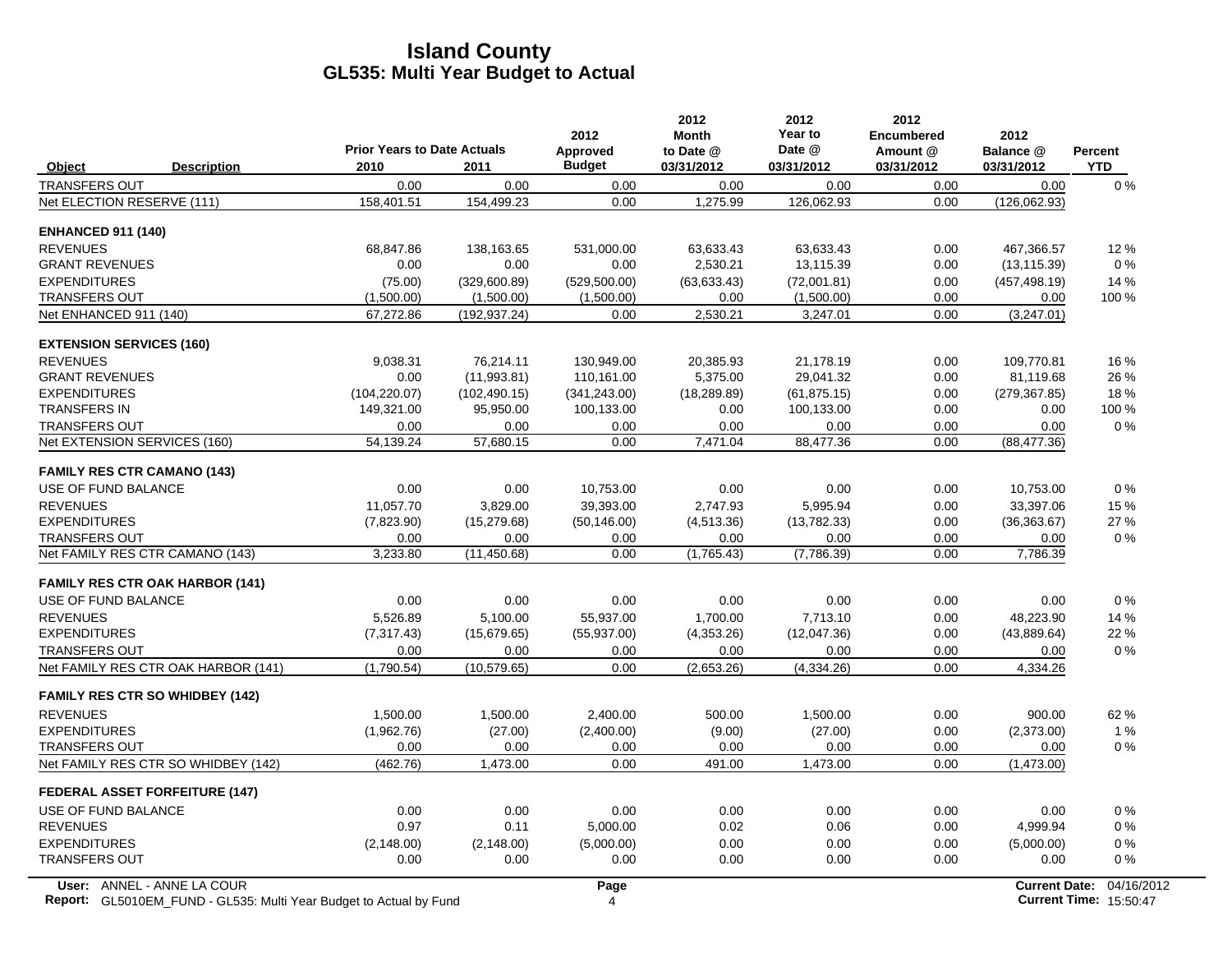|                                 |                                        | <b>Prior Years to Date Actuals</b> |               | 2012<br>Approved | 2012<br><b>Month</b><br>to Date @ | 2012<br>Year to<br>Date @ | 2012<br><b>Encumbered</b><br>Amount @ | 2012<br>Balance @    | Percent    |
|---------------------------------|----------------------------------------|------------------------------------|---------------|------------------|-----------------------------------|---------------------------|---------------------------------------|----------------------|------------|
| Object                          | <b>Description</b>                     | 2010                               | 2011          | <b>Budget</b>    | 03/31/2012                        | 03/31/2012                | 03/31/2012                            | 03/31/2012           | <b>YTD</b> |
| <b>TRANSFERS OUT</b>            |                                        | 0.00                               | 0.00          | 0.00             | 0.00                              | 0.00                      | 0.00                                  | 0.00                 | $0\%$      |
| Net ELECTION RESERVE (111)      |                                        | 158,401.51                         | 154,499.23    | 0.00             | 1,275.99                          | 126,062.93                | 0.00                                  | (126, 062.93)        |            |
| <b>ENHANCED 911 (140)</b>       |                                        |                                    |               |                  |                                   |                           |                                       |                      |            |
| <b>REVENUES</b>                 |                                        | 68.847.86                          | 138,163.65    | 531,000.00       | 63,633.43                         | 63.633.43                 | 0.00                                  | 467.366.57           | 12%        |
| <b>GRANT REVENUES</b>           |                                        | 0.00                               | 0.00          | 0.00             | 2,530.21                          | 13,115.39                 | 0.00                                  | (13, 115.39)         | $0\%$      |
| <b>EXPENDITURES</b>             |                                        | (75.00)                            | (329,600.89)  | (529, 500.00)    | (63, 633, 43)                     | (72,001.81)               | 0.00                                  | (457, 498.19)        | 14 %       |
| <b>TRANSFERS OUT</b>            |                                        | (1,500.00)                         | (1,500.00)    | (1,500.00)       | 0.00                              | (1,500.00)                | 0.00                                  | 0.00                 | 100 %      |
| Net ENHANCED 911 (140)          |                                        | 67,272.86                          | (192, 937.24) | 0.00             | 2,530.21                          | 3,247.01                  | 0.00                                  | (3,247.01)           |            |
| <b>EXTENSION SERVICES (160)</b> |                                        |                                    |               |                  |                                   |                           |                                       |                      |            |
| <b>REVENUES</b>                 |                                        | 9,038.31                           | 76,214.11     | 130,949.00       | 20,385.93                         | 21,178.19                 | 0.00                                  | 109,770.81           | 16 %       |
| <b>GRANT REVENUES</b>           |                                        | 0.00                               | (11,993.81)   | 110,161.00       | 5,375.00                          | 29,041.32                 | 0.00                                  | 81,119.68            | 26 %       |
| <b>EXPENDITURES</b>             |                                        | (104, 220.07)                      | (102, 490.15) | (341, 243.00)    | (18, 289.89)                      | (61, 875.15)              | 0.00                                  | (279, 367.85)        | 18%        |
| <b>TRANSFERS IN</b>             |                                        | 149,321.00                         | 95,950.00     | 100,133.00       | 0.00                              | 100,133.00                | 0.00                                  | 0.00                 | 100 %      |
| <b>TRANSFERS OUT</b>            |                                        | 0.00                               | 0.00          | 0.00             | 0.00                              | 0.00                      | 0.00                                  | 0.00                 | 0%         |
| Net EXTENSION SERVICES (160)    |                                        | 54,139.24                          | 57,680.15     | 0.00             | 7,471.04                          | 88,477.36                 | 0.00                                  | (88, 477.36)         |            |
|                                 | <b>FAMILY RES CTR CAMANO (143)</b>     |                                    |               |                  |                                   |                           |                                       |                      |            |
| USE OF FUND BALANCE             |                                        | 0.00                               | 0.00          | 10,753.00        | 0.00                              | 0.00                      | 0.00                                  | 10,753.00            | $0\%$      |
| <b>REVENUES</b>                 |                                        | 11,057.70                          | 3,829.00      | 39,393.00        | 2,747.93                          | 5,995.94                  | 0.00                                  | 33,397.06            | 15 %       |
| <b>EXPENDITURES</b>             |                                        | (7,823.90)                         | (15, 279.68)  | (50, 146.00)     | (4, 513.36)                       | (13,782.33)               | 0.00                                  | (36, 363.67)         | 27 %       |
| <b>TRANSFERS OUT</b>            |                                        | 0.00                               | 0.00          | 0.00             | 0.00                              | 0.00                      | 0.00                                  | 0.00                 | $0\%$      |
|                                 | Net FAMILY RES CTR CAMANO (143)        | 3,233.80                           | (11, 450.68)  | 0.00             | (1,765.43)                        | (7,786.39)                | 0.00                                  | 7,786.39             |            |
|                                 | <b>FAMILY RES CTR OAK HARBOR (141)</b> |                                    |               |                  |                                   |                           |                                       |                      |            |
| USE OF FUND BALANCE             |                                        | 0.00                               | 0.00          | 0.00             | 0.00                              | 0.00                      | 0.00                                  | 0.00                 | $0\%$      |
| <b>REVENUES</b>                 |                                        | 5.526.89                           | 5.100.00      | 55.937.00        | 1.700.00                          | 7.713.10                  | 0.00                                  | 48.223.90            | 14 %       |
| <b>EXPENDITURES</b>             |                                        | (7, 317.43)                        | (15,679.65)   | (55, 937.00)     | (4,353.26)                        | (12,047.36)               | 0.00                                  | (43,889.64)          | 22 %       |
| <b>TRANSFERS OUT</b>            |                                        | 0.00                               | 0.00          | 0.00             | 0.00                              | 0.00                      | 0.00                                  | 0.00                 | 0%         |
|                                 | Net FAMILY RES CTR OAK HARBOR (141)    | (1,790.54)                         | (10, 579.65)  | 0.00             | (2,653.26)                        | (4,334.26)                | 0.00                                  | 4,334.26             |            |
|                                 | <b>FAMILY RES CTR SO WHIDBEY (142)</b> |                                    |               |                  |                                   |                           |                                       |                      |            |
| <b>REVENUES</b>                 |                                        | 1,500.00                           | 1,500.00      | 2,400.00         | 500.00                            | 1,500.00                  | 0.00                                  | 900.00               | 62 %       |
| <b>EXPENDITURES</b>             |                                        | (1,962.76)                         | (27.00)       | (2,400.00)       | (9.00)                            | (27.00)                   | 0.00                                  | (2,373.00)           | 1%         |
| <b>TRANSFERS OUT</b>            |                                        | 0.00                               | 0.00          | 0.00             | 0.00                              | 0.00                      | 0.00                                  | 0.00                 | 0%         |
|                                 | Net FAMILY RES CTR SO WHIDBEY (142)    | (462.76)                           | 1,473.00      | 0.00             | 491.00                            | 1,473.00                  | 0.00                                  | (1,473.00)           |            |
|                                 | <b>FEDERAL ASSET FORFEITURE (147)</b>  |                                    |               |                  |                                   |                           |                                       |                      |            |
| USE OF FUND BALANCE             |                                        | 0.00                               | 0.00          | 0.00             | 0.00                              | 0.00                      | 0.00                                  | 0.00                 | $0\%$      |
| <b>REVENUES</b>                 |                                        | 0.97                               | 0.11          | 5,000.00         | 0.02                              | 0.06                      | 0.00                                  | 4,999.94             | $0\%$      |
| <b>EXPENDITURES</b>             |                                        | (2, 148.00)                        | (2, 148.00)   | (5,000.00)       | 0.00                              | 0.00                      | 0.00                                  | (5,000.00)           | $0\%$      |
| <b>TRANSFERS OUT</b>            |                                        | 0.00                               | 0.00          | 0.00             | 0.00                              | 0.00                      | 0.00                                  | 0.00                 | $0\%$      |
|                                 | User: ANNEL - ANNE LA COUR             |                                    |               | Page             |                                   |                           |                                       | <b>Current Date:</b> | 04/16/2    |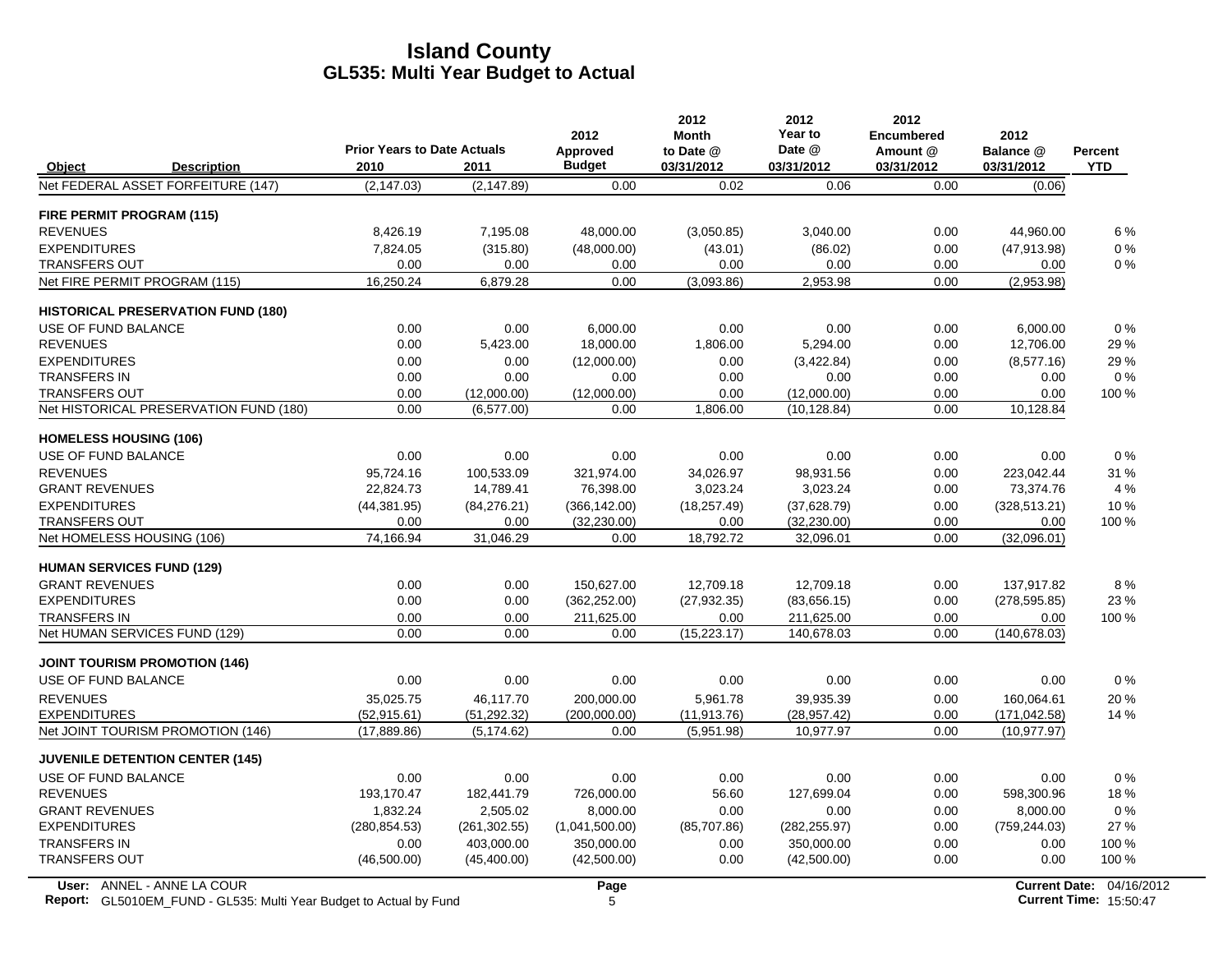|                                                             |                                           |                                    |                             | 2012                          | 2012<br><b>Month</b>      | 2012<br>Year to             | 2012<br><b>Encumbered</b> | 2012                        |              |
|-------------------------------------------------------------|-------------------------------------------|------------------------------------|-----------------------------|-------------------------------|---------------------------|-----------------------------|---------------------------|-----------------------------|--------------|
|                                                             |                                           | <b>Prior Years to Date Actuals</b> |                             | Approved                      | to Date @                 | Date @                      | Amount @                  | Balance @                   | Percent      |
| Object                                                      | <b>Description</b>                        | 2010                               | 2011                        | <b>Budget</b>                 | 03/31/2012                | 03/31/2012                  | 03/31/2012                | 03/31/2012                  | <b>YTD</b>   |
|                                                             | Net FEDERAL ASSET FORFEITURE (147)        | (2, 147.03)                        | (2, 147.89)                 | 0.00                          | 0.02                      | 0.06                        | 0.00                      | (0.06)                      |              |
| FIRE PERMIT PROGRAM (115)                                   |                                           |                                    |                             |                               |                           |                             |                           |                             |              |
| <b>REVENUES</b>                                             |                                           | 8,426.19                           | 7,195.08                    | 48,000.00                     | (3,050.85)                | 3,040.00                    | 0.00                      | 44,960.00                   | 6 %          |
| <b>EXPENDITURES</b>                                         |                                           | 7,824.05                           | (315.80)                    | (48,000.00)                   | (43.01)                   | (86.02)                     | 0.00                      | (47, 913.98)                | $0\%$        |
| <b>TRANSFERS OUT</b>                                        |                                           | 0.00                               | 0.00                        | 0.00                          | 0.00                      | 0.00                        | 0.00                      | 0.00                        | 0%           |
| Net FIRE PERMIT PROGRAM (115)                               |                                           | 16,250.24                          | 6,879.28                    | 0.00                          | (3,093.86)                | 2,953.98                    | 0.00                      | (2,953.98)                  |              |
|                                                             | <b>HISTORICAL PRESERVATION FUND (180)</b> |                                    |                             |                               |                           |                             |                           |                             |              |
| USE OF FUND BALANCE                                         |                                           | 0.00                               | 0.00                        | 6.000.00                      | 0.00                      | 0.00                        | 0.00                      | 6.000.00                    | 0%           |
| <b>REVENUES</b>                                             |                                           | 0.00                               | 5,423.00                    | 18,000.00                     | 1,806.00                  | 5,294.00                    | 0.00                      | 12,706.00                   | 29 %         |
| <b>EXPENDITURES</b>                                         |                                           | 0.00                               | 0.00                        | (12,000.00)                   | 0.00                      | (3,422.84)                  | 0.00                      | (8,577.16)                  | 29 %         |
| <b>TRANSFERS IN</b>                                         |                                           | 0.00                               | 0.00                        | 0.00                          | 0.00                      | 0.00                        | 0.00                      | 0.00                        | $0\%$        |
| <b>TRANSFERS OUT</b>                                        |                                           | 0.00<br>0.00                       | (12,000.00)                 | (12,000.00)                   | 0.00                      | (12,000.00)                 | 0.00                      | 0.00                        | 100 %        |
|                                                             | Net HISTORICAL PRESERVATION FUND (180)    |                                    | (6, 577.00)                 | 0.00                          | 1,806.00                  | (10, 128.84)                | 0.00                      | 10,128.84                   |              |
| <b>HOMELESS HOUSING (106)</b>                               |                                           |                                    |                             |                               |                           |                             |                           |                             |              |
| USE OF FUND BALANCE                                         |                                           | 0.00                               | 0.00                        | 0.00                          | 0.00                      | 0.00                        | 0.00                      | 0.00                        | $0\%$        |
| <b>REVENUES</b><br><b>GRANT REVENUES</b>                    |                                           | 95.724.16                          | 100,533.09                  | 321,974.00                    | 34.026.97                 | 98,931.56<br>3,023.24       | 0.00<br>0.00              | 223.042.44                  | 31 %<br>4 %  |
|                                                             |                                           | 22,824.73                          | 14,789.41                   | 76,398.00                     | 3,023.24                  |                             |                           | 73,374.76                   |              |
| <b>EXPENDITURES</b><br><b>TRANSFERS OUT</b>                 |                                           | (44, 381.95)<br>0.00               | (84, 276.21)<br>0.00        | (366, 142.00)<br>(32, 230.00) | (18, 257.49)<br>0.00      | (37,628.79)<br>(32, 230.00) | 0.00<br>0.00              | (328, 513.21)<br>0.00       | 10%<br>100 % |
| Net HOMELESS HOUSING (106)                                  |                                           | 74,166.94                          | 31,046.29                   | 0.00                          | 18,792.72                 | 32,096.01                   | 0.00                      | (32,096.01)                 |              |
|                                                             |                                           |                                    |                             |                               |                           |                             |                           |                             |              |
| <b>HUMAN SERVICES FUND (129)</b>                            |                                           |                                    |                             |                               |                           |                             |                           |                             |              |
| <b>GRANT REVENUES</b><br><b>EXPENDITURES</b>                |                                           | 0.00<br>0.00                       | 0.00<br>0.00                | 150.627.00<br>(362, 252.00)   | 12.709.18<br>(27, 932.35) | 12.709.18<br>(83,656.15)    | 0.00<br>0.00              | 137.917.82<br>(278, 595.85) | 8%<br>23 %   |
| <b>TRANSFERS IN</b>                                         |                                           | 0.00                               | 0.00                        | 211,625.00                    | 0.00                      | 211,625.00                  | 0.00                      | 0.00                        | 100 %        |
| Net HUMAN SERVICES FUND (129)                               |                                           | 0.00                               | 0.00                        | 0.00                          | (15, 223.17)              | 140,678.03                  | 0.00                      | (140, 678.03)               |              |
|                                                             |                                           |                                    |                             |                               |                           |                             |                           |                             |              |
| <b>JOINT TOURISM PROMOTION (146)</b><br>USE OF FUND BALANCE |                                           | 0.00                               | 0.00                        | 0.00                          | 0.00                      | 0.00                        | 0.00                      | 0.00                        | 0%           |
| <b>REVENUES</b>                                             |                                           | 35,025.75                          | 46,117.70                   | 200,000.00                    | 5,961.78                  | 39,935.39                   |                           |                             | 20%          |
| <b>EXPENDITURES</b>                                         |                                           | (52, 915.61)                       | (51, 292.32)                | (200,000.00)                  | (11, 913.76)              | (28, 957.42)                | 0.00<br>0.00              | 160,064.61<br>(171, 042.58) | 14 %         |
|                                                             | Net JOINT TOURISM PROMOTION (146)         | (17,889.86)                        | (5, 174.62)                 | 0.00                          | (5,951.98)                | 10,977.97                   | 0.00                      | (10, 977.97)                |              |
|                                                             |                                           |                                    |                             |                               |                           |                             |                           |                             |              |
|                                                             | <b>JUVENILE DETENTION CENTER (145)</b>    |                                    |                             |                               |                           |                             |                           |                             |              |
| USE OF FUND BALANCE                                         |                                           | 0.00                               | 0.00                        | 0.00                          | 0.00                      | 0.00                        | 0.00                      | 0.00                        | 0%           |
| <b>REVENUES</b>                                             |                                           | 193,170.47                         | 182,441.79                  | 726,000.00                    | 56.60                     | 127,699.04                  | 0.00                      | 598,300.96                  | 18%          |
| <b>GRANT REVENUES</b><br><b>EXPENDITURES</b>                |                                           | 1,832.24                           | 2,505.02                    | 8,000.00                      | 0.00<br>(85,707.86)       | 0.00                        | 0.00<br>0.00              | 8,000.00                    | 0%<br>27 %   |
| <b>TRANSFERS IN</b>                                         |                                           | (280.854.53)                       | (261, 302.55)<br>403,000.00 | (1,041,500.00)<br>350,000.00  | 0.00                      | (282, 255.97)<br>350,000.00 | 0.00                      | (759, 244.03)               | 100 %        |
| <b>TRANSFERS OUT</b>                                        |                                           | 0.00<br>(46,500.00)                | (45,400.00)                 | (42,500.00)                   | 0.00                      | (42,500.00)                 | 0.00                      | 0.00<br>0.00                | 100 %        |
|                                                             |                                           |                                    |                             |                               |                           |                             |                           |                             |              |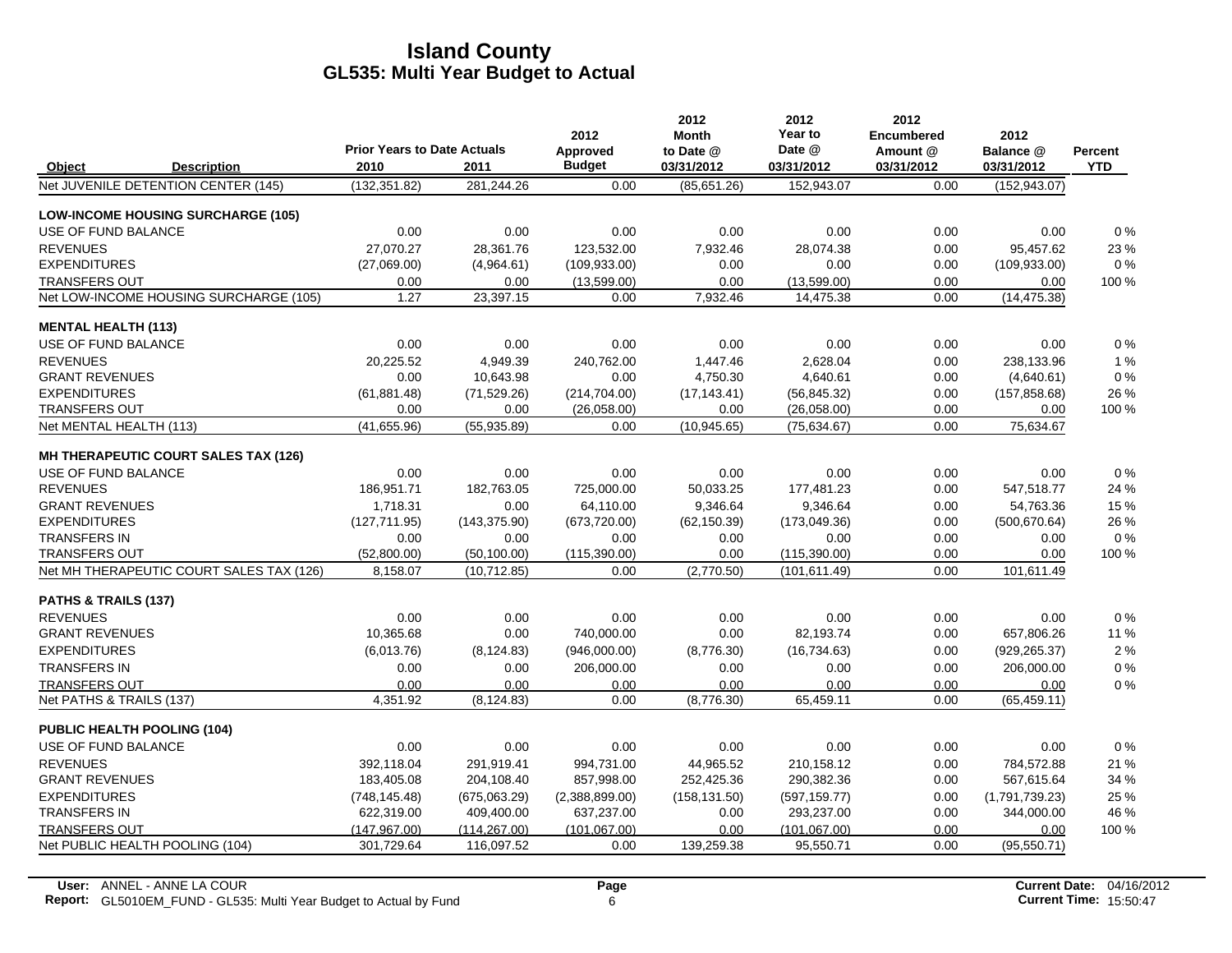|                                    |                                           |                                            |               | 2012                      | 2012<br><b>Month</b>    | 2012<br>Year to      | 2012<br><b>Encumbered</b> | 2012                    |                              |
|------------------------------------|-------------------------------------------|--------------------------------------------|---------------|---------------------------|-------------------------|----------------------|---------------------------|-------------------------|------------------------------|
| Object                             | <b>Description</b>                        | <b>Prior Years to Date Actuals</b><br>2010 | 2011          | Approved<br><b>Budget</b> | to Date @<br>03/31/2012 | Date @<br>03/31/2012 | Amount @<br>03/31/2012    | Balance @<br>03/31/2012 | <b>Percent</b><br><b>YTD</b> |
|                                    | Net JUVENILE DETENTION CENTER (145)       | (132, 351.82)                              | 281,244.26    | 0.00                      | (85,651.26)             | 152,943.07           | 0.00                      | (152, 943.07)           |                              |
|                                    | <b>LOW-INCOME HOUSING SURCHARGE (105)</b> |                                            |               |                           |                         |                      |                           |                         |                              |
| USE OF FUND BALANCE                |                                           | 0.00                                       | 0.00          | 0.00                      | 0.00                    | 0.00                 | 0.00                      | 0.00                    | 0%                           |
| <b>REVENUES</b>                    |                                           | 27,070.27                                  | 28.361.76     | 123.532.00                | 7,932.46                | 28.074.38            | 0.00                      | 95,457.62               | 23 %                         |
| <b>EXPENDITURES</b>                |                                           | (27,069.00)                                | (4,964.61)    | (109, 933.00)             | 0.00                    | 0.00                 | 0.00                      | (109, 933.00)           | $0\%$                        |
| <b>TRANSFERS OUT</b>               |                                           | 0.00                                       | 0.00          | (13,599.00)               | 0.00                    | (13,599.00)          | 0.00                      | 0.00                    | 100 %                        |
|                                    | Net LOW-INCOME HOUSING SURCHARGE (105)    | 1.27                                       | 23,397.15     | 0.00                      | 7,932.46                | 14,475.38            | 0.00                      | (14, 475.38)            |                              |
| <b>MENTAL HEALTH (113)</b>         |                                           |                                            |               |                           |                         |                      |                           |                         |                              |
| USE OF FUND BALANCE                |                                           | 0.00                                       | 0.00          | 0.00                      | 0.00                    | 0.00                 | 0.00                      | 0.00                    | 0%                           |
| <b>REVENUES</b>                    |                                           | 20.225.52                                  | 4.949.39      | 240.762.00                | 1.447.46                | 2.628.04             | 0.00                      | 238.133.96              | 1%                           |
| <b>GRANT REVENUES</b>              |                                           | 0.00                                       | 10,643.98     | 0.00                      | 4,750.30                | 4,640.61             | 0.00                      | (4,640.61)              | 0%                           |
| <b>EXPENDITURES</b>                |                                           | (61, 881.48)                               | (71, 529.26)  | (214, 704.00)             | (17, 143.41)            | (56, 845.32)         | 0.00                      | (157, 858.68)           | 26 %                         |
| <b>TRANSFERS OUT</b>               |                                           | 0.00                                       | 0.00          | (26,058.00)               | 0.00                    | (26,058.00)          | 0.00                      | 0.00                    | 100 %                        |
| Net MENTAL HEALTH (113)            |                                           | (41,655.96)                                | (55,935.89)   | 0.00                      | (10, 945.65)            | (75, 634.67)         | 0.00                      | 75,634.67               |                              |
|                                    | MH THERAPEUTIC COURT SALES TAX (126)      |                                            |               |                           |                         |                      |                           |                         |                              |
| USE OF FUND BALANCE                |                                           | 0.00                                       | 0.00          | 0.00                      | 0.00                    | 0.00                 | 0.00                      | 0.00                    | 0%                           |
| <b>REVENUES</b>                    |                                           | 186,951.71                                 | 182,763.05    | 725,000.00                | 50,033.25               | 177,481.23           | 0.00                      | 547,518.77              | 24 %                         |
| <b>GRANT REVENUES</b>              |                                           | 1,718.31                                   | 0.00          | 64,110.00                 | 9,346.64                | 9,346.64             | 0.00                      | 54,763.36               | 15 %                         |
| <b>EXPENDITURES</b>                |                                           | (127, 711.95)                              | (143, 375.90) | (673, 720.00)             | (62, 150.39)            | (173, 049.36)        | 0.00                      | (500, 670.64)           | 26 %                         |
| <b>TRANSFERS IN</b>                |                                           | 0.00                                       | 0.00          | 0.00                      | 0.00                    | 0.00                 | 0.00                      | 0.00                    | 0%                           |
| <b>TRANSFERS OUT</b>               |                                           | (52,800.00)                                | (50, 100.00)  | (115,390.00)              | 0.00                    | (115, 390.00)        | 0.00                      | 0.00                    | 100 %                        |
|                                    | Net MH THERAPEUTIC COURT SALES TAX (126)  | 8,158.07                                   | (10,712.85)   | 0.00                      | (2,770.50)              | (101, 611.49)        | 0.00                      | 101,611.49              |                              |
| <b>PATHS &amp; TRAILS (137)</b>    |                                           |                                            |               |                           |                         |                      |                           |                         |                              |
| <b>REVENUES</b>                    |                                           | 0.00                                       | 0.00          | 0.00                      | 0.00                    | 0.00                 | 0.00                      | 0.00                    | 0%                           |
| <b>GRANT REVENUES</b>              |                                           | 10,365.68                                  | 0.00          | 740,000.00                | 0.00                    | 82,193.74            | 0.00                      | 657,806.26              | 11 %                         |
| <b>EXPENDITURES</b>                |                                           | (6,013.76)                                 | (8, 124.83)   | (946,000.00)              | (8,776.30)              | (16, 734.63)         | 0.00                      | (929, 265.37)           | 2 %                          |
| <b>TRANSFERS IN</b>                |                                           | 0.00                                       | 0.00          | 206,000.00                | 0.00                    | 0.00                 | 0.00                      | 206,000.00              | 0%                           |
| <b>TRANSFERS OUT</b>               |                                           | 0.00                                       | 0.00          | 0.00                      | 0.00                    | 0.00                 | 0.00                      | 0.00                    | 0%                           |
| Net PATHS & TRAILS (137)           |                                           | 4,351.92                                   | (8, 124.83)   | 0.00                      | (8,776.30)              | 65,459.11            | 0.00                      | (65, 459.11)            |                              |
| <b>PUBLIC HEALTH POOLING (104)</b> |                                           |                                            |               |                           |                         |                      |                           |                         |                              |
| USE OF FUND BALANCE                |                                           | 0.00                                       | 0.00          | 0.00                      | 0.00                    | 0.00                 | 0.00                      | 0.00                    | 0%                           |
| <b>REVENUES</b>                    |                                           | 392,118.04                                 | 291,919.41    | 994,731.00                | 44,965.52               | 210,158.12           | 0.00                      | 784,572.88              | 21 %                         |
| <b>GRANT REVENUES</b>              |                                           | 183,405.08                                 | 204,108.40    | 857,998.00                | 252,425.36              | 290,382.36           | 0.00                      | 567,615.64              | 34 %                         |
| <b>EXPENDITURES</b>                |                                           | (748, 145.48)                              | (675,063.29)  | (2,388,899.00)            | (158, 131.50)           | (597, 159.77)        | 0.00                      | (1,791,739.23)          | 25 %                         |
| <b>TRANSFERS IN</b>                |                                           | 622,319.00                                 | 409,400.00    | 637,237.00                | 0.00                    | 293,237.00           | 0.00                      | 344,000.00              | 46 %                         |
| <b>TRANSFERS OUT</b>               |                                           | (147, 967.00)                              | (114, 267.00) | (101, 067.00)             | 0.00                    | (101, 067.00)        | 0.00                      | 0.00                    | 100 %                        |
|                                    | Net PUBLIC HEALTH POOLING (104)           | 301,729.64                                 | 116,097.52    | 0.00                      | 139,259.38              | 95,550.71            | 0.00                      | (95, 550.71)            |                              |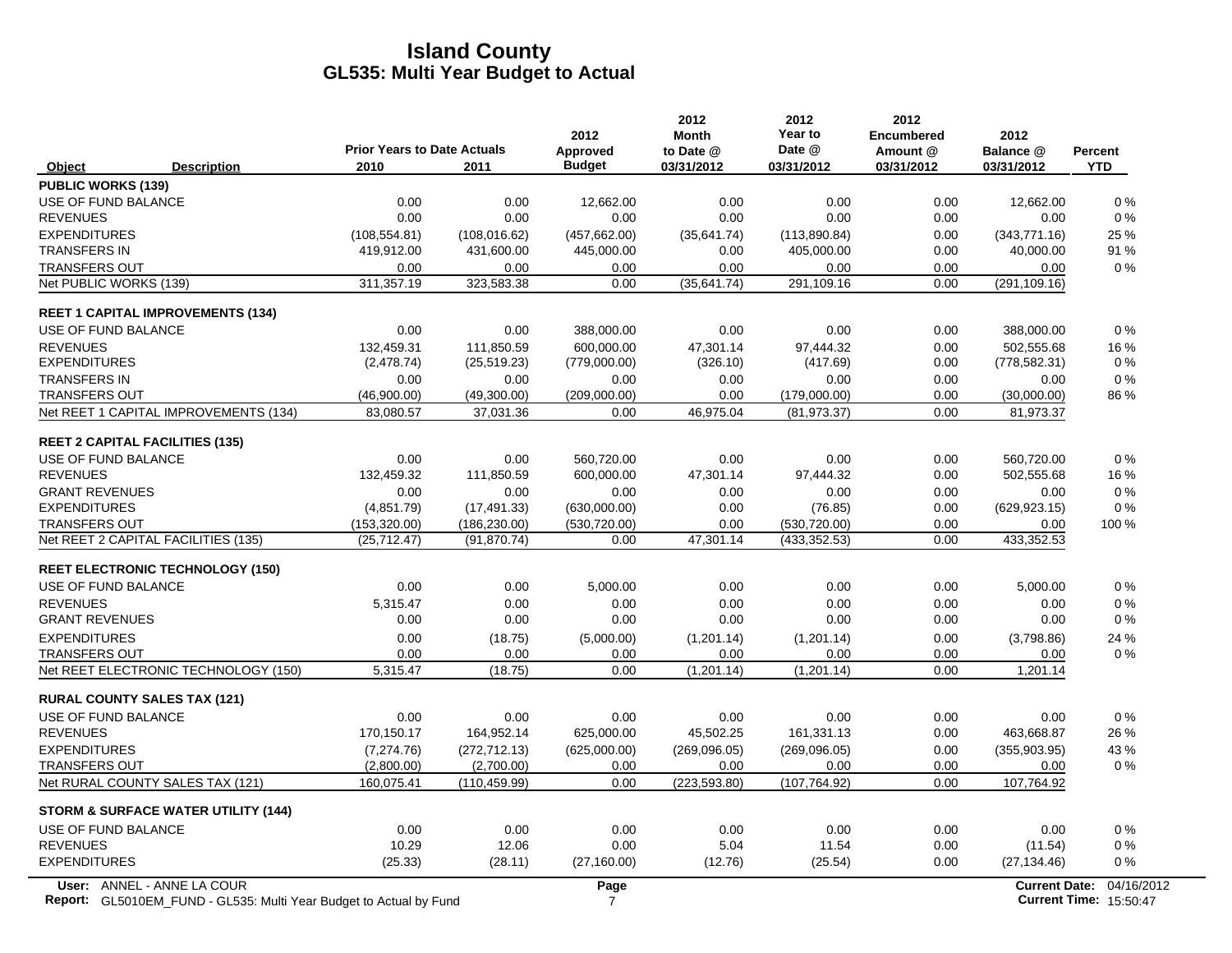|                                              |                                                                           | <b>Prior Years to Date Actuals</b> |                      | 2012<br>Approved     | 2012<br><b>Month</b><br>to Date @ | 2012<br>Year to<br>Date @ | 2012<br><b>Encumbered</b><br>Amount @ | 2012<br>Balance @     | <b>Percent</b>                |
|----------------------------------------------|---------------------------------------------------------------------------|------------------------------------|----------------------|----------------------|-----------------------------------|---------------------------|---------------------------------------|-----------------------|-------------------------------|
| Object                                       | <b>Description</b>                                                        | 2010                               | 2011                 | <b>Budget</b>        | 03/31/2012                        | 03/31/2012                | 03/31/2012                            | 03/31/2012            | <b>YTD</b>                    |
| <b>PUBLIC WORKS (139)</b>                    |                                                                           |                                    |                      |                      |                                   |                           |                                       |                       |                               |
| <b>USE OF FUND BALANCE</b>                   |                                                                           | 0.00                               | 0.00                 | 12,662.00            | 0.00                              | 0.00                      | 0.00                                  | 12,662.00             | $0\%$                         |
| <b>REVENUES</b>                              |                                                                           | 0.00                               | 0.00                 | 0.00                 | 0.00                              | 0.00                      | 0.00                                  | 0.00                  | $0\%$                         |
| <b>EXPENDITURES</b>                          |                                                                           | (108, 554.81)                      | (108, 016.62)        | (457, 662.00)        | (35,641.74)                       | (113,890.84)              | 0.00                                  | (343,771.16)          | 25 %                          |
| <b>TRANSFERS IN</b>                          |                                                                           | 419,912.00                         | 431,600.00           | 445,000.00           | 0.00                              | 405,000.00                | 0.00                                  | 40,000.00             | 91 %                          |
| <b>TRANSFERS OUT</b>                         |                                                                           | 0.00                               | 0.00                 | 0.00                 | 0.00                              | 0.00                      | 0.00                                  | 0.00                  | 0%                            |
| Net PUBLIC WORKS (139)                       |                                                                           | 311,357.19                         | 323,583.38           | 0.00                 | (35, 641.74)                      | 291,109.16                | 0.00                                  | (291, 109.16)         |                               |
|                                              | <b>REET 1 CAPITAL IMPROVEMENTS (134)</b>                                  |                                    |                      |                      |                                   |                           |                                       |                       |                               |
| USE OF FUND BALANCE                          |                                                                           | 0.00                               | 0.00                 | 388,000.00           | 0.00                              | 0.00                      | 0.00                                  | 388,000.00            | $0\%$                         |
| <b>REVENUES</b>                              |                                                                           | 132,459.31                         | 111,850.59           | 600,000.00           | 47,301.14                         | 97,444.32                 | 0.00                                  | 502,555.68            | 16%                           |
| <b>EXPENDITURES</b>                          |                                                                           | (2,478.74)                         | (25, 519.23)         | (779,000.00)         | (326.10)                          | (417.69)                  | 0.00                                  | (778, 582.31)         | 0%                            |
| <b>TRANSFERS IN</b>                          |                                                                           | 0.00                               | 0.00                 | 0.00                 | 0.00                              | 0.00                      | 0.00                                  | 0.00                  | 0%                            |
| <b>TRANSFERS OUT</b>                         |                                                                           | (46,900.00)                        | (49,300.00)          | (209,000.00)         | 0.00                              | (179,000.00)              | 0.00                                  | (30,000.00)           | 86 %                          |
|                                              | Net REET 1 CAPITAL IMPROVEMENTS (134)                                     | 83,080.57                          | 37,031.36            | 0.00                 | 46,975.04                         | (81, 973.37)              | 0.00                                  | 81,973.37             |                               |
|                                              |                                                                           |                                    |                      |                      |                                   |                           |                                       |                       |                               |
| <b>REET 2 CAPITAL FACILITIES (135)</b>       |                                                                           |                                    |                      |                      |                                   |                           |                                       |                       |                               |
| USE OF FUND BALANCE<br><b>REVENUES</b>       |                                                                           | 0.00<br>132,459.32                 | 0.00                 | 560,720.00           | 0.00<br>47,301.14                 | 0.00<br>97,444.32         | 0.00<br>0.00                          | 560,720.00            | 0%<br>16 %                    |
|                                              |                                                                           |                                    | 111,850.59           | 600,000.00           |                                   |                           |                                       | 502,555.68            | 0%                            |
| <b>GRANT REVENUES</b><br><b>EXPENDITURES</b> |                                                                           | 0.00<br>(4,851.79)                 | 0.00<br>(17, 491.33) | 0.00<br>(630,000.00) | 0.00<br>0.00                      | 0.00<br>(76.85)           | 0.00<br>0.00                          | 0.00<br>(629, 923.15) | 0%                            |
| <b>TRANSFERS OUT</b>                         |                                                                           | (153, 320.00)                      | (186, 230.00)        | (530, 720.00)        | 0.00                              | (530, 720.00)             | 0.00                                  | 0.00                  | 100 %                         |
|                                              | Net REET 2 CAPITAL FACILITIES (135)                                       | (25, 712.47)                       | (91, 870.74)         | 0.00                 | 47,301.14                         | (433,352.53)              | 0.00                                  | 433,352.53            |                               |
|                                              |                                                                           |                                    |                      |                      |                                   |                           |                                       |                       |                               |
|                                              | <b>REET ELECTRONIC TECHNOLOGY (150)</b>                                   |                                    |                      |                      |                                   |                           |                                       |                       |                               |
| USE OF FUND BALANCE                          |                                                                           | 0.00                               | 0.00                 | 5,000.00             | 0.00                              | 0.00                      | 0.00                                  | 5,000.00              | $0\%$                         |
| <b>REVENUES</b>                              |                                                                           | 5,315.47                           | 0.00                 | 0.00                 | 0.00                              | 0.00                      | 0.00                                  | 0.00                  | $0\%$                         |
| <b>GRANT REVENUES</b>                        |                                                                           | 0.00                               | 0.00                 | 0.00                 | 0.00                              | 0.00                      | 0.00                                  | 0.00                  | 0%                            |
| <b>EXPENDITURES</b>                          |                                                                           | 0.00                               | (18.75)              | (5,000.00)           | (1,201.14)                        | (1,201.14)                | 0.00                                  | (3,798.86)            | 24 %                          |
| <b>TRANSFERS OUT</b>                         |                                                                           | 0.00                               | 0.00                 | 0.00                 | 0.00                              | 0.00                      | 0.00                                  | 0.00                  | $0\%$                         |
|                                              | Net REET ELECTRONIC TECHNOLOGY (150)                                      | 5,315.47                           | (18.75)              | 0.00                 | (1,201.14)                        | (1,201.14)                | 0.00                                  | 1,201.14              |                               |
| <b>RURAL COUNTY SALES TAX (121)</b>          |                                                                           |                                    |                      |                      |                                   |                           |                                       |                       |                               |
| USE OF FUND BALANCE                          |                                                                           | 0.00                               | 0.00                 | 0.00                 | 0.00                              | 0.00                      | 0.00                                  | 0.00                  | 0%                            |
| <b>REVENUES</b>                              |                                                                           | 170,150.17                         | 164,952.14           | 625,000.00           | 45,502.25                         | 161,331.13                | 0.00                                  | 463,668.87            | 26 %                          |
| <b>EXPENDITURES</b>                          |                                                                           | (7, 274.76)                        | (272, 712, 13)       | (625,000.00)         | (269,096.05)                      | (269, 096.05)             | 0.00                                  | (355, 903.95)         | 43 %                          |
| <b>TRANSFERS OUT</b>                         |                                                                           | (2,800.00)                         | (2,700.00)           | 0.00                 | 0.00                              | 0.00                      | 0.00                                  | 0.00                  | $0\%$                         |
|                                              | Net RURAL COUNTY SALES TAX (121)                                          | 160,075.41                         | (110, 459.99)        | 0.00                 | (223, 593.80)                     | (107, 764.92)             | 0.00                                  | 107,764.92            |                               |
|                                              | <b>STORM &amp; SURFACE WATER UTILITY (144)</b>                            |                                    |                      |                      |                                   |                           |                                       |                       |                               |
| USE OF FUND BALANCE                          |                                                                           | 0.00                               | 0.00                 | 0.00                 | 0.00                              | 0.00                      | 0.00                                  | 0.00                  | 0%                            |
| <b>REVENUES</b>                              |                                                                           | 10.29                              | 12.06                | 0.00                 | 5.04                              | 11.54                     | 0.00                                  | (11.54)               | 0%                            |
| <b>EXPENDITURES</b>                          |                                                                           | (25.33)                            | (28.11)              | (27, 160.00)         | (12.76)                           | (25.54)                   | 0.00                                  | (27, 134.46)          | $0\%$                         |
|                                              | User: ANNEL - ANNE LA COUR                                                |                                    |                      | Page                 |                                   |                           |                                       | <b>Current Date:</b>  | 04/16/2012                    |
|                                              | <b>Report:</b> GL5010EM_FUND - GL535: Multi Year Budget to Actual by Fund |                                    |                      | 7                    |                                   |                           |                                       |                       | <b>Current Time: 15:50:47</b> |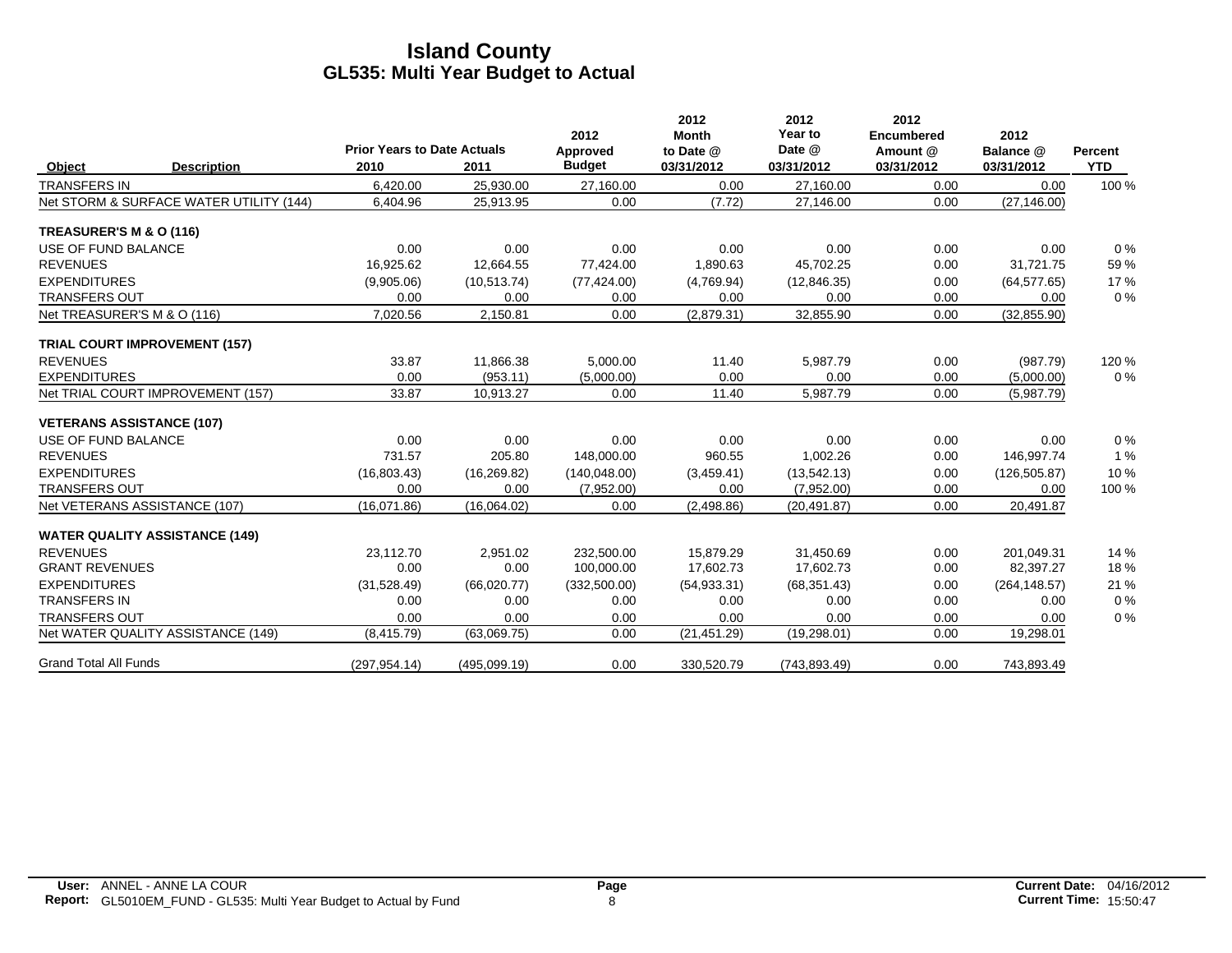|                              |                                         | <b>Prior Years to Date Actuals</b> |              | 2012<br>Approved | 2012<br><b>Month</b><br>to Date @ | 2012<br>Year to<br>Date @ | 2012<br><b>Encumbered</b><br>Amount @ | 2012<br>Balance @ | <b>Percent</b> |
|------------------------------|-----------------------------------------|------------------------------------|--------------|------------------|-----------------------------------|---------------------------|---------------------------------------|-------------------|----------------|
| Object                       | <b>Description</b>                      | 2010                               | 2011         | <b>Budget</b>    | 03/31/2012                        | 03/31/2012                | 03/31/2012                            | 03/31/2012        | <b>YTD</b>     |
| <b>TRANSFERS IN</b>          |                                         | 6,420.00                           | 25,930.00    | 27,160.00        | 0.00                              | 27,160.00                 | 0.00                                  | 0.00              | 100 %          |
|                              | Net STORM & SURFACE WATER UTILITY (144) | 6,404.96                           | 25,913.95    | 0.00             | (7.72)                            | 27,146.00                 | 0.00                                  | (27, 146.00)      |                |
| TREASURER'S M & O (116)      |                                         |                                    |              |                  |                                   |                           |                                       |                   |                |
| USE OF FUND BALANCE          |                                         | 0.00                               | 0.00         | 0.00             | 0.00                              | 0.00                      | 0.00                                  | 0.00              | 0%             |
| <b>REVENUES</b>              |                                         | 16,925.62                          | 12,664.55    | 77,424.00        | 1,890.63                          | 45,702.25                 | 0.00                                  | 31,721.75         | 59%            |
| <b>EXPENDITURES</b>          |                                         | (9,905.06)                         | (10, 513.74) | (77, 424.00)     | (4,769.94)                        | (12, 846.35)              | 0.00                                  | (64, 577.65)      | 17%            |
| <b>TRANSFERS OUT</b>         |                                         | 0.00                               | 0.00         | 0.00             | 0.00                              | 0.00                      | 0.00                                  | 0.00              | $0\%$          |
|                              | Net TREASURER'S M & O (116)             | 7,020.56                           | 2,150.81     | 0.00             | (2,879.31)                        | 32,855.90                 | 0.00                                  | (32, 855.90)      |                |
|                              | <b>TRIAL COURT IMPROVEMENT (157)</b>    |                                    |              |                  |                                   |                           |                                       |                   |                |
| <b>REVENUES</b>              |                                         | 33.87                              | 11,866.38    | 5,000.00         | 11.40                             | 5,987.79                  | 0.00                                  | (987.79)          | 120 %          |
| <b>EXPENDITURES</b>          |                                         | 0.00                               | (953.11)     | (5,000.00)       | 0.00                              | 0.00                      | 0.00                                  | (5,000.00)        | 0%             |
|                              | Net TRIAL COURT IMPROVEMENT (157)       | 33.87                              | 10,913.27    | 0.00             | 11.40                             | 5,987.79                  | 0.00                                  | (5,987.79)        |                |
|                              | <b>VETERANS ASSISTANCE (107)</b>        |                                    |              |                  |                                   |                           |                                       |                   |                |
| USE OF FUND BALANCE          |                                         | 0.00                               | 0.00         | 0.00             | 0.00                              | 0.00                      | 0.00                                  | 0.00              | 0%             |
| <b>REVENUES</b>              |                                         | 731.57                             | 205.80       | 148,000.00       | 960.55                            | 1,002.26                  | 0.00                                  | 146,997.74        | 1%             |
| <b>EXPENDITURES</b>          |                                         | (16,803.43)                        | (16, 269.82) | (140, 048.00)    | (3,459.41)                        | (13, 542.13)              | 0.00                                  | (126, 505.87)     | 10 %           |
| <b>TRANSFERS OUT</b>         |                                         | 0.00                               | 0.00         | (7,952.00)       | 0.00                              | (7,952.00)                | 0.00                                  | 0.00              | 100 %          |
|                              | Net VETERANS ASSISTANCE (107)           | (16,071.86)                        | (16,064.02)  | 0.00             | (2,498.86)                        | (20, 491.87)              | 0.00                                  | 20,491.87         |                |
|                              | <b>WATER QUALITY ASSISTANCE (149)</b>   |                                    |              |                  |                                   |                           |                                       |                   |                |
| <b>REVENUES</b>              |                                         | 23,112.70                          | 2,951.02     | 232,500.00       | 15,879.29                         | 31,450.69                 | 0.00                                  | 201,049.31        | 14 %           |
| <b>GRANT REVENUES</b>        |                                         | 0.00                               | 0.00         | 100,000.00       | 17,602.73                         | 17,602.73                 | 0.00                                  | 82,397.27         | 18%            |
| <b>EXPENDITURES</b>          |                                         | (31,528.49)                        | (66,020.77)  | (332, 500.00)    | (54, 933.31)                      | (68, 351.43)              | 0.00                                  | (264, 148.57)     | 21 %           |
| <b>TRANSFERS IN</b>          |                                         | 0.00                               | 0.00         | 0.00             | 0.00                              | 0.00                      | 0.00                                  | 0.00              | $0\%$          |
| <b>TRANSFERS OUT</b>         |                                         | 0.00                               | 0.00         | 0.00             | 0.00                              | 0.00                      | 0.00                                  | 0.00              | 0%             |
|                              | Net WATER QUALITY ASSISTANCE (149)      | (8, 415.79)                        | (63,069.75)  | 0.00             | (21, 451.29)                      | (19, 298.01)              | 0.00                                  | 19,298.01         |                |
| <b>Grand Total All Funds</b> |                                         | (297, 954.14)                      | (495,099.19) | 0.00             | 330,520.79                        | (743, 893.49)             | 0.00                                  | 743,893.49        |                |